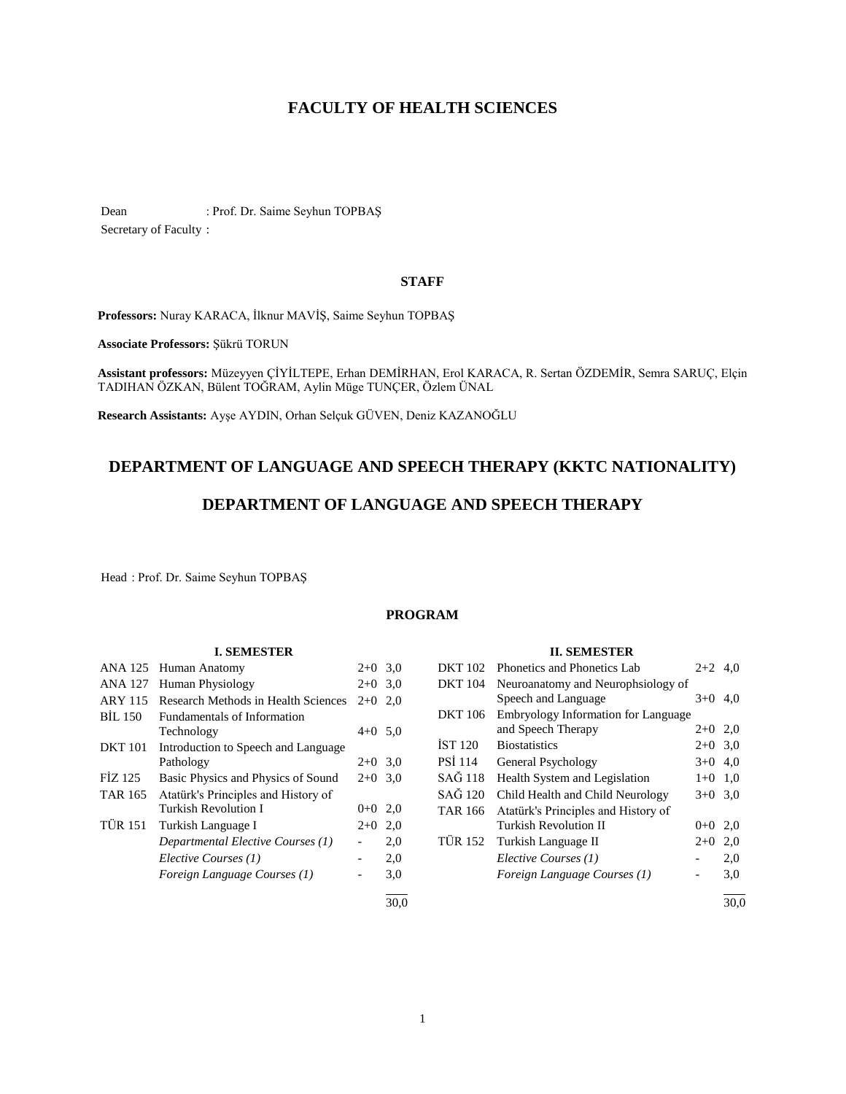# **FACULTY OF HEALTH SCIENCES**

Dean : Prof. Dr. Saime Seyhun TOPBAŞ Secretary of Faculty :

# **STAFF**

**Professors:** Nuray KARACA, İlknur MAVİŞ, Saime Seyhun TOPBAŞ

**Associate Professors:** Şükrü TORUN

**Assistant professors:** Müzeyyen ÇİYİLTEPE, Erhan DEMİRHAN, Erol KARACA, R. Sertan ÖZDEMİR, Semra SARUÇ, Elçin TADIHAN ÖZKAN, Bülent TOĞRAM, Aylin Müge TUNÇER, Özlem ÜNAL

**Research Assistants:** Ayşe AYDIN, Orhan Selçuk GÜVEN, Deniz KAZANOĞLU

# **DEPARTMENT OF LANGUAGE AND SPEECH THERAPY (KKTC NATIONALITY)**

# **DEPARTMENT OF LANGUAGE AND SPEECH THERAPY**

Head : Prof. Dr. Saime Seyhun TOPBAŞ

# **PROGRAM**

### **I. SEMESTER**

| ANA 125        | Human Anatomy                                               | $2+0$ 3.0 |      |
|----------------|-------------------------------------------------------------|-----------|------|
| ANA 127        | Human Physiology                                            | $2+0$ 3.0 |      |
| <b>ARY 115</b> | Research Methods in Health Sciences                         | $2+0$     | 2,0  |
| BIL 150        | <b>Fundamentals of Information</b><br>Technology            | $4+0$ 5.0 |      |
| <b>DKT</b> 101 | Introduction to Speech and Language<br>Pathology            | $2+0$ 3.0 |      |
| FIZ 125        | Basic Physics and Physics of Sound                          | $2+0$ 3.0 |      |
| <b>TAR 165</b> | Atatürk's Principles and History of<br>Turkish Revolution I | $0 + 0$   | 2,0  |
| <b>TÜR 151</b> | Turkish Language I                                          | $2+0$     | 2,0  |
|                | Departmental Elective Courses (1)                           |           | 2,0  |
|                | Elective Courses (1)                                        |           | 2,0  |
|                | Foreign Language Courses (1)                                |           | 3,0  |
|                |                                                             |           | 30.0 |

# **II. SEMESTER**

| <b>DKT 102</b> | Phonetics and Phonetics Lab                               | $2 + 2$ | 4.0 |
|----------------|-----------------------------------------------------------|---------|-----|
| <b>DKT</b> 104 | Neuroanatomy and Neurophsiology of<br>Speech and Language | $3+0$   | 4.0 |
| <b>DKT</b> 106 | Embryology Information for Language                       |         |     |
|                | and Speech Therapy                                        | $2+0$   | 2,0 |
| <b>IST 120</b> | <b>Biostatistics</b>                                      | $2+0$   | 3,0 |
| <b>PSI 114</b> | General Psychology                                        | $3+0$   | 4,0 |
| SAĞ 118        | Health System and Legislation                             | $1 + 0$ | 1,0 |
| SAĞ 120        | Child Health and Child Neurology                          | $3+0$   | 3,0 |
| <b>TAR 166</b> | Atatürk's Principles and History of                       |         |     |
|                | <b>Turkish Revolution II</b>                              | $0 + 0$ | 2,0 |
|                | TÜR 152 Turkish Language II                               | $2+0$   | 2,0 |
|                | Elective Courses (1)                                      |         | 2,0 |
|                | Foreign Language Courses (1)                              |         | 3,0 |
|                |                                                           |         |     |

 $\frac{1}{30.0}$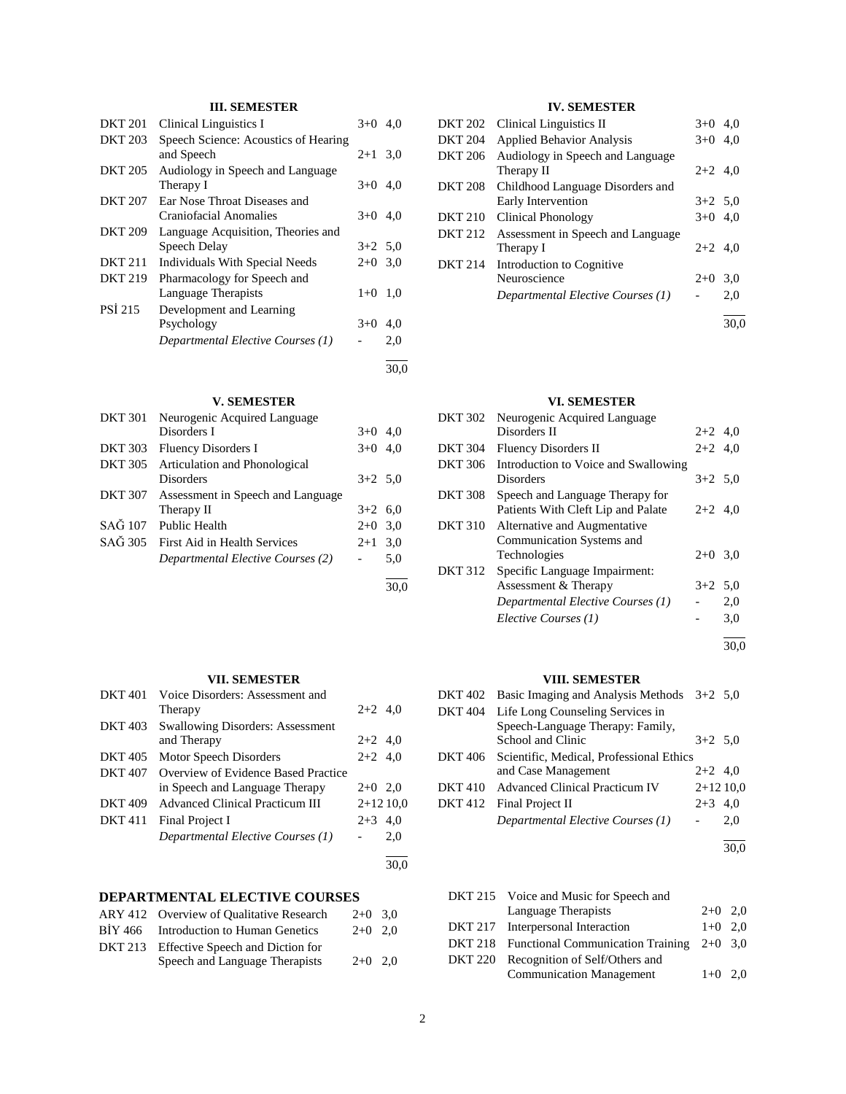# **III. SEMESTER**

| <b>DKT 201</b> | <b>Clinical Linguistics I</b>        | $3+0$     | 4.0  |
|----------------|--------------------------------------|-----------|------|
| <b>DKT 203</b> | Speech Science: Acoustics of Hearing |           |      |
|                | and Speech                           | $2+1$ 3.0 |      |
| <b>DKT 205</b> | Audiology in Speech and Language     |           |      |
|                | Therapy I                            | $3+0$ 4.0 |      |
| <b>DKT 207</b> | Ear Nose Throat Diseases and         |           |      |
|                | Craniofacial Anomalies               | $3+0$ 4.0 |      |
| <b>DKT 209</b> | Language Acquisition, Theories and   |           |      |
|                | Speech Delay                         | $3+2$ 5.0 |      |
| <b>DKT 211</b> | Individuals With Special Needs       | $2+0$ 3.0 |      |
| DKT 219        | Pharmacology for Speech and          |           |      |
|                | Language Therapists                  | $1+0$     | 1.0  |
| <b>PSI 215</b> | Development and Learning             |           |      |
|                | Psychology                           | $3+0$     | 4,0  |
|                | Departmental Elective Courses (1)    |           | 2,0  |
|                |                                      |           | 30.0 |

# **V. SEMESTER**

| <b>DKT 301</b> | Neurogenic Acquired Language      |           |     |
|----------------|-----------------------------------|-----------|-----|
|                | Disorders I                       | $3+0$ 4.0 |     |
| <b>DKT 303</b> | Fluency Disorders I               | $3+0$ 4.0 |     |
| <b>DKT 305</b> | Articulation and Phonological     |           |     |
|                | Disorders                         | $3+2$ 5.0 |     |
| <b>DKT 307</b> | Assessment in Speech and Language |           |     |
|                | Therapy II                        | $3+2$ 6,0 |     |
| SAĞ 107        | <b>Public Health</b>              | $2+0$ 3.0 |     |
| SAĞ 305        | First Aid in Health Services      | $2 + 1$   | 3,0 |
|                | Departmental Elective Courses (2) |           | 5,0 |
|                |                                   |           |     |

# **VII. SEMESTER**

| <b>DKT 401</b> | Voice Disorders: Assessment and         |            |     |
|----------------|-----------------------------------------|------------|-----|
|                | Therapy                                 | $2+2$ 4,0  |     |
| <b>DKT 403</b> | <b>Swallowing Disorders: Assessment</b> |            |     |
|                | and Therapy                             | $2+2$ 4,0  |     |
| <b>DKT 405</b> | Motor Speech Disorders                  | $2+2$ 4,0  |     |
| <b>DKT 407</b> | Overview of Evidence Based Practice     |            |     |
|                | in Speech and Language Therapy          | $2+0$ 2,0  |     |
| <b>DKT 409</b> | <b>Advanced Clinical Practicum III</b>  | $2+1210,0$ |     |
| <b>DKT</b> 411 | Final Project I                         | $2+3$ 4.0  |     |
|                | Departmental Elective Courses (1)       |            | 2,0 |
|                |                                         |            |     |

# **DEPARTMENTAL ELECTIVE COURSES**

| ARY 412 Overview of Qualitative Research | $2+0$ 3.0 |  |
|------------------------------------------|-----------|--|
| BİY 466 Introduction to Human Genetics   | $2+0$ 2.0 |  |
| DKT 213 Effective Speech and Diction for |           |  |
| Speech and Language Therapists           | $2+0$ 2.0 |  |

# **IV. SEMESTER**

| <b>DKT 202</b> | <b>Clinical Linguistics II</b>                         | $3+0$     | 4.0  |
|----------------|--------------------------------------------------------|-----------|------|
| <b>DKT 204</b> | <b>Applied Behavior Analysis</b>                       | $3+0$     | 4,0  |
| <b>DKT 206</b> | Audiology in Speech and Language<br>Therapy II         | $2+2$ 4,0 |      |
| <b>DKT 208</b> | Childhood Language Disorders and<br>Early Intervention | $3+2$ 5.0 |      |
| <b>DKT 210</b> | Clinical Phonology                                     | $3+0$ 4.0 |      |
| <b>DKT 212</b> | Assessment in Speech and Language<br>Therapy I         | $2+2$ 4.0 |      |
| <b>DKT 214</b> | Introduction to Cognitive<br>Neuroscience              | $2+0$     | 3.0  |
|                | Departmental Elective Courses (1)                      |           | 2,0  |
|                |                                                        |           | 30.0 |

### **VI. SEMESTER**

| DKT 302        | Neurogenic Acquired Language         |           |     |
|----------------|--------------------------------------|-----------|-----|
|                | Disorders II                         | $2+2$ 4,0 |     |
| <b>DKT 304</b> | Fluency Disorders II                 | $2+2$ 4,0 |     |
| DKT 306        | Introduction to Voice and Swallowing |           |     |
|                | Disorders                            | $3+2$ 5.0 |     |
| <b>DKT 308</b> | Speech and Language Therapy for      |           |     |
|                | Patients With Cleft Lip and Palate   | $2+2$ 4,0 |     |
| <b>DKT 310</b> | Alternative and Augmentative         |           |     |
|                | Communication Systems and            |           |     |
|                | Technologies                         | $2+0$ 3,0 |     |
| <b>DKT 312</b> | Specific Language Impairment:        |           |     |
|                | Assessment & Therapy                 | $3+2$ 5.0 |     |
|                | Departmental Elective Courses (1)    |           | 2,0 |
|                | Elective Courses (1)                 |           | 3,0 |
|                |                                      |           |     |

30,0

# **VIII. SEMESTER**

|         | DKT 402 Basic Imaging and Analysis Methods $3+2$ 5,0 |            |      |
|---------|------------------------------------------------------|------------|------|
|         | DKT 404 Life Long Counseling Services in             |            |      |
|         | Speech-Language Therapy: Family,                     |            |      |
|         | School and Clinic                                    | $3+2$ 5.0  |      |
|         | DKT 406 Scientific, Medical, Professional Ethics     |            |      |
|         | and Case Management                                  | $2+2$ 4,0  |      |
| DKT 410 | <b>Advanced Clinical Practicum IV</b>                | $2+1210,0$ |      |
|         | DKT 412 Final Project II                             | $2+3$ 4.0  |      |
|         | Departmental Elective Courses (1)                    |            | 2,0  |
|         |                                                      |            | 30.0 |
|         |                                                      |            |      |

| DKT 215 Voice and Music for Speech and              |           |  |
|-----------------------------------------------------|-----------|--|
| Language Therapists                                 | $2+0$ 2,0 |  |
| DKT 217 Interpersonal Interaction                   | $1+0$ 2.0 |  |
| DKT 218 Functional Communication Training $2+0$ 3,0 |           |  |
| DKT 220 Recognition of Self/Others and              |           |  |
| <b>Communication Management</b>                     | $1+0$ 2.0 |  |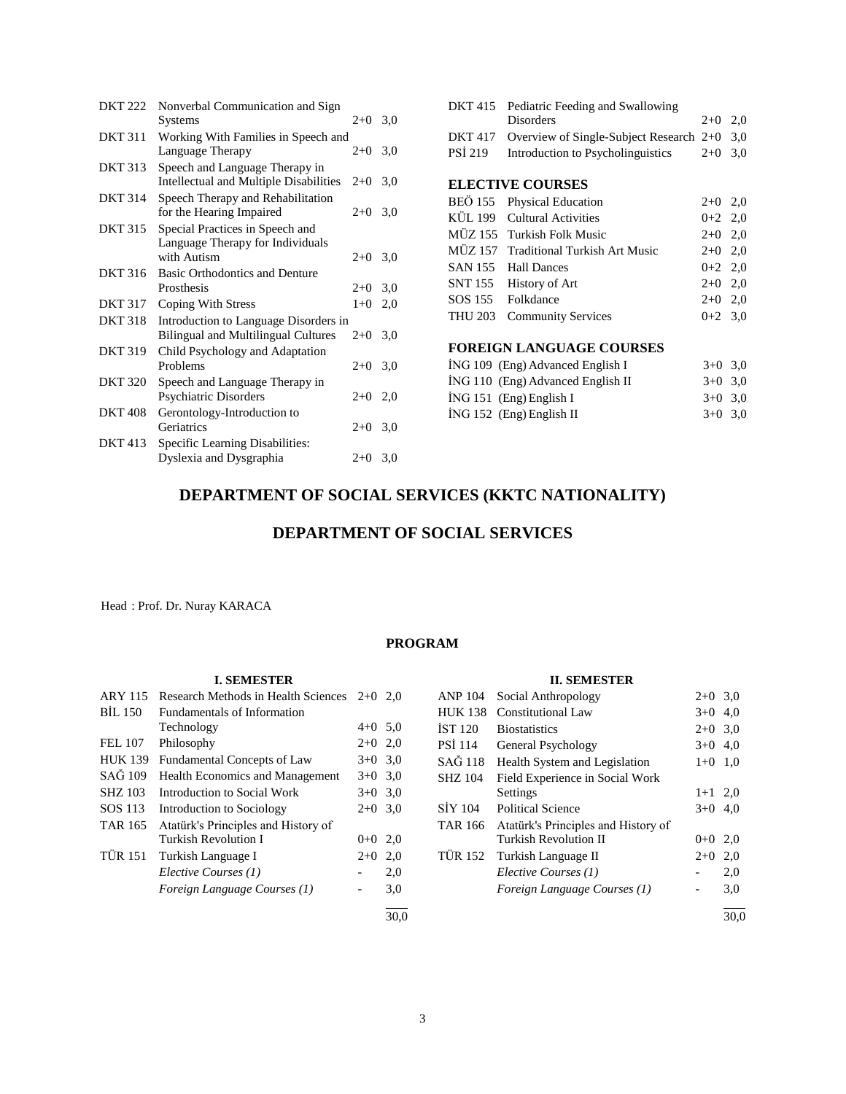| <b>DKT 222</b> | Nonverbal Communication and Sign<br>Systems | $2+0$     | 3,0 |
|----------------|---------------------------------------------|-----------|-----|
| <b>DKT 311</b> | Working With Families in Speech and         |           |     |
|                | Language Therapy                            | $2+0$     | 3,0 |
| <b>DKT 313</b> | Speech and Language Therapy in              |           |     |
|                | Intellectual and Multiple Disabilities      | $2+0$     | 3,0 |
| <b>DKT 314</b> | Speech Therapy and Rehabilitation           |           |     |
|                | for the Hearing Impaired                    | $2+0$     | 3,0 |
| <b>DKT 315</b> | Special Practices in Speech and             |           |     |
|                | Language Therapy for Individuals            |           |     |
|                | with Autism                                 | $2+0$     | 3,0 |
| DKT 316        | Basic Orthodontics and Denture              |           |     |
|                | Prosthesis                                  | $2+0$ 3,0 |     |
| <b>DKT 317</b> | Coping With Stress                          | $1 + 0$   | 2,0 |
| <b>DKT 318</b> | Introduction to Language Disorders in       |           |     |
|                | <b>Bilingual and Multilingual Cultures</b>  | $2+0$     | 3,0 |
| <b>DKT 319</b> | Child Psychology and Adaptation             |           |     |
|                | Problems                                    | $2+0$     | 3,0 |
| <b>DKT 320</b> | Speech and Language Therapy in              |           |     |
|                | Psychiatric Disorders                       | $2+0$ 2,0 |     |
| <b>DKT 408</b> | Gerontology-Introduction to                 |           |     |
|                | Geriatrics                                  | $2+0$ 3,0 |     |
| <b>DKT</b> 413 | Specific Learning Disabilities:             |           |     |
|                | Dyslexia and Dysgraphia                     | $2+0$ 3.0 |     |
|                |                                             |           |     |

|         | DKT 415 Pediatric Feeding and Swallowing            |           |  |
|---------|-----------------------------------------------------|-----------|--|
|         | <b>Disorders</b>                                    | $2+0$ 2.0 |  |
|         | DKT 417 Overview of Single-Subject Research 2+0 3,0 |           |  |
| PSİ 219 | Introduction to Psycholinguistics $2+0$ 3,0         |           |  |
|         |                                                     |           |  |
|         | <b>ELECTIVE COURSES</b>                             |           |  |
|         | BEÖ 155 Physical Education                          | $2+0$ 2,0 |  |
|         | KÜL 199 Cultural Activities                         | $0+2$ 2.0 |  |
|         | MÜZ 155 Turkish Folk Music                          | $2+0$ 2.0 |  |
|         |                                                     |           |  |

| MÜZ 157 Traditional Turkish Art Music | $2+0$ 2.0 |  |
|---------------------------------------|-----------|--|
| SAN 155 Hall Dances                   | $0+2$ 2.0 |  |
| SNT 155 History of Art                | $2+0$ 2.0 |  |
| SOS 155 Folkdance                     | $2+0$ 2.0 |  |
| THU 203 Community Services            | $0+2$ 3.0 |  |

### **FOREIGN LANGUAGE COURSES**

| ING 109 (Eng) Advanced English I  | $3+0$ 3.0 |  |
|-----------------------------------|-----------|--|
| ING 110 (Eng) Advanced English II | $3+0$ 3.0 |  |
| $ING 151$ (Eng) English I         | $3+0$ 3.0 |  |
| $ING 152$ (Eng) English II        | $3+0$ 3.0 |  |
|                                   |           |  |

# **DEPARTMENT OF SOCIAL SERVICES (KKTC NATIONALITY)**

# **DEPARTMENT OF SOCIAL SERVICES**

Head : Prof. Dr. Nuray KARACA

# **PROGRAM**

# **I. SEMESTER**

| <b>Research Methods in Health Sciences</b> | $2+0$                        | 2.0                                                                    |
|--------------------------------------------|------------------------------|------------------------------------------------------------------------|
| <b>Fundamentals of Information</b>         |                              |                                                                        |
| Technology                                 |                              |                                                                        |
| Philosophy                                 |                              |                                                                        |
| Fundamental Concepts of Law                |                              |                                                                        |
| <b>Health Economics and Management</b>     |                              |                                                                        |
| Introduction to Social Work                |                              |                                                                        |
| Introduction to Sociology                  |                              | 3,0                                                                    |
| Atatürk's Principles and History of        |                              |                                                                        |
| Turkish Revolution I                       | $0 + 0$                      | 2,0                                                                    |
| Turkish Language I                         | $2+0$                        | 2,0                                                                    |
| Elective Courses (1)                       | $\qquad \qquad \blacksquare$ | 2,0                                                                    |
| Foreign Language Courses (1)               |                              | 3,0                                                                    |
|                                            |                              | 30.0                                                                   |
|                                            |                              | $4+0$ 5.0<br>$2+0$ 2,0<br>$3+0$ 3.0<br>$3+0$ 3.0<br>$3+0$ 3.0<br>$2+0$ |

# **II. SEMESTER**

| <b>ANP 104</b> | Social Anthropology                 | $2+0$   | 3,0  |
|----------------|-------------------------------------|---------|------|
| <b>HUK 138</b> | Constitutional Law                  | $3+0$   | 4,0  |
| <b>IST 120</b> | <b>Biostatistics</b>                | $2+0$   | 3.0  |
| <b>PSI 114</b> | General Psychology                  | $3+0$   | 4.0  |
| SAĞ 118        | Health System and Legislation       | $1 + 0$ | 1,0  |
| <b>SHZ 104</b> | Field Experience in Social Work     |         |      |
|                | Settings                            | $1+1$   | 2,0  |
| <b>SİY 104</b> | <b>Political Science</b>            | $3+0$   | 4.0  |
| TAR 166        | Atatürk's Principles and History of |         |      |
|                | Turkish Revolution II               | $0 + 0$ | 2,0  |
| <b>TÜR 152</b> | Turkish Language II                 | $2+0$   | 2,0  |
|                | Elective Courses (1)                |         | 2,0  |
|                | Foreign Language Courses (1)        |         | 3,0  |
|                |                                     |         | 30,0 |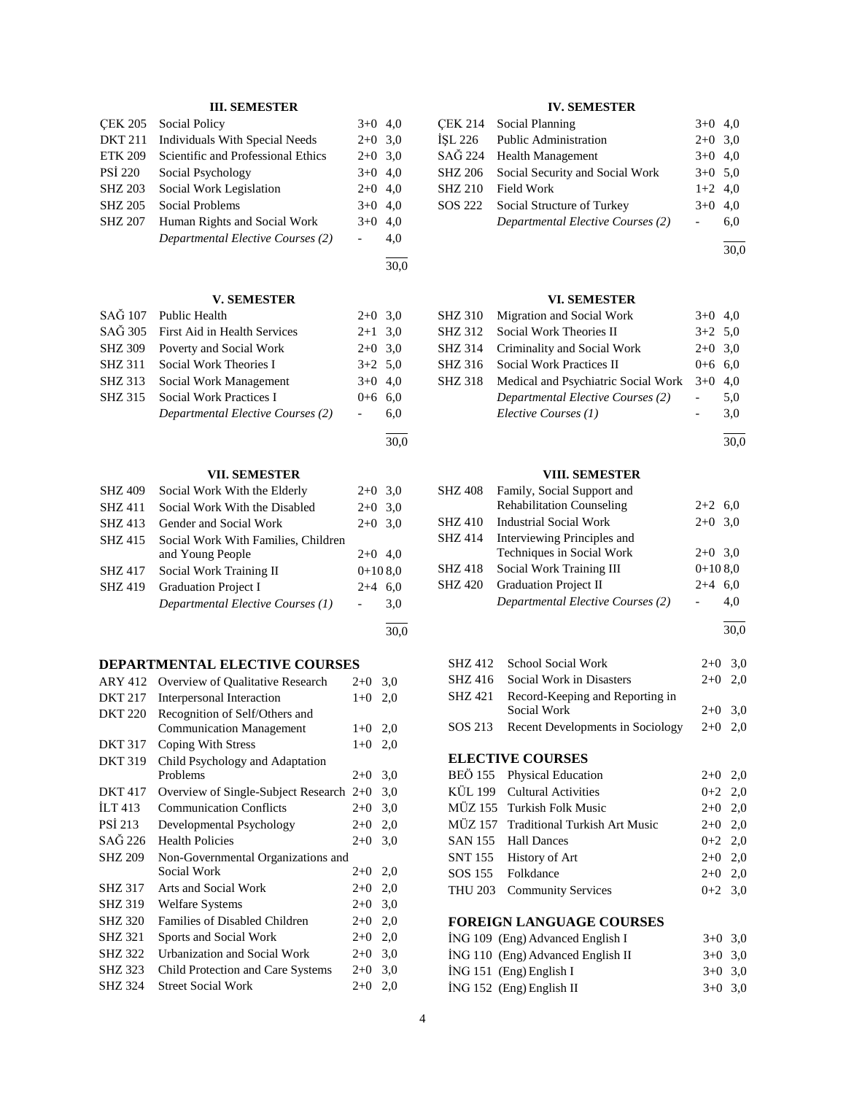# **III. SEMESTER**

|                | <b>ÇEK 205</b> Social Policy          | $3+0$ 4,0 |     |
|----------------|---------------------------------------|-----------|-----|
| <b>DKT 211</b> | <b>Individuals With Special Needs</b> | $2+0$ 3,0 |     |
| <b>ETK 209</b> | Scientific and Professional Ethics    | $2+0$ 3,0 |     |
| <b>PSI 220</b> | Social Psychology                     | $3+0$ 4,0 |     |
| <b>SHZ 203</b> | Social Work Legislation               | $2+0$ 4,0 |     |
| <b>SHZ 205</b> | <b>Social Problems</b>                | $3+0$ 4,0 |     |
| <b>SHZ 207</b> | Human Rights and Social Work          | $3+0$ 4,0 |     |
|                | Departmental Elective Courses (2)     |           | 4,0 |

30,0

30,0

30,0

l

### **V. SEMESTER**

|                | SAG 107 Public Health             | $2+0$ 3.0 |     |
|----------------|-----------------------------------|-----------|-----|
| SAĞ 305        | First Aid in Health Services      | $2+1$ 3.0 |     |
| <b>SHZ 309</b> | Poverty and Social Work           | $2+0$ 3.0 |     |
| <b>SHZ 311</b> | Social Work Theories I            | $3+2$ 5.0 |     |
| SHZ 313        | Social Work Management            | $3+0$ 4,0 |     |
| SHZ 315        | <b>Social Work Practices I</b>    | $0+6$ 6.0 |     |
|                | Departmental Elective Courses (2) |           | 6.0 |
|                |                                   |           |     |

### **VII. SEMESTER**

| <b>SHZ 409</b> | Social Work With the Elderly        | $2+0$ 3.0 |     |
|----------------|-------------------------------------|-----------|-----|
| <b>SHZ411</b>  | Social Work With the Disabled       | $2+0$     | 3,0 |
| SHZ 413        | Gender and Social Work              | $2+0$ 3.0 |     |
| <b>SHZ 415</b> | Social Work With Families, Children |           |     |
|                | and Young People                    | $2+0$ 4.0 |     |
| <b>SHZ417</b>  | Social Work Training II             | $0+108.0$ |     |
| <b>SHZ 419</b> | <b>Graduation Project I</b>         | $2 + 4$   | 6.0 |
|                | Departmental Elective Courses (1)   |           | 3.0 |
|                |                                     |           |     |

# **DEPARTMENTAL ELECTIVE COURSES**

| ARY 412            | Overview of Qualitative Research    | $2+0$ | 3,0 |
|--------------------|-------------------------------------|-------|-----|
| <b>DKT 217</b>     | Interpersonal Interaction           | $1+0$ | 2,0 |
| <b>DKT 220</b>     | Recognition of Self/Others and      |       |     |
|                    | <b>Communication Management</b>     | $1+0$ | 2,0 |
| <b>DKT 317</b>     | Coping With Stress                  | $1+0$ | 2,0 |
| <b>DKT 319</b>     | Child Psychology and Adaptation     |       |     |
|                    | Problems                            | $2+0$ | 3,0 |
| <b>DKT 417</b>     | Overview of Single-Subject Research | $2+0$ | 3,0 |
| ILT <sub>413</sub> | <b>Communication Conflicts</b>      | $2+0$ | 3,0 |
| <b>PSI 213</b>     | Developmental Psychology            | $2+0$ | 2,0 |
| SAĞ 226            | <b>Health Policies</b>              | $2+0$ | 3,0 |
| <b>SHZ 209</b>     | Non-Governmental Organizations and  |       |     |
|                    | Social Work                         | $2+0$ | 2,0 |
| <b>SHZ 317</b>     | Arts and Social Work                | $2+0$ | 2,0 |
| <b>SHZ 319</b>     | <b>Welfare Systems</b>              | $2+0$ | 3,0 |
| <b>SHZ 320</b>     | Families of Disabled Children       | $2+0$ | 2,0 |
| <b>SHZ 321</b>     | Sports and Social Work              | $2+0$ | 2,0 |
| <b>SHZ 322</b>     | Urbanization and Social Work        | $2+0$ | 3,0 |
| <b>SHZ 323</b>     | Child Protection and Care Systems   | $2+0$ | 3,0 |
| <b>SHZ 324</b>     | <b>Street Social Work</b>           | $2+0$ | 2,0 |
|                    |                                     |       |     |

# **IV. SEMESTER**

|                | CEK 214 Social Planning           | $3+0$ 4,0 |     |
|----------------|-----------------------------------|-----------|-----|
| İSL 226        | <b>Public Administration</b>      | $2+0$ 3.0 |     |
|                | SAĞ 224 Health Management         | $3+0$ 4,0 |     |
| SHZ 206        | Social Security and Social Work   | $3+0$ 5.0 |     |
| <b>SHZ 210</b> | <b>Field Work</b>                 | $1+2$ 4,0 |     |
| SOS 222        | Social Structure of Turkey        | $3+0$ 4,0 |     |
|                | Departmental Elective Courses (2) |           | 6,0 |
|                |                                   |           |     |

30,0

# **VI. SEMESTER**

| SHZ 310 Migration and Social Work           | $3+0$ 4.0 |     |
|---------------------------------------------|-----------|-----|
| SHZ 312 Social Work Theories II             | $3+2$ 5.0 |     |
| SHZ 314 Criminality and Social Work         | $2+0$ 3.0 |     |
| <b>SHZ 316</b> Social Work Practices II     | $0+6$ 6.0 |     |
| SHZ 318 Medical and Psychiatric Social Work | $3+0$ 4.0 |     |
| Departmental Elective Courses (2)           |           | 5,0 |
| Elective Courses (1)                        |           | 3.0 |

l 30,0

# **VIII. SEMESTER**

| SHZ 408        | Family, Social Support and        |           |     |
|----------------|-----------------------------------|-----------|-----|
|                | <b>Rehabilitation Counseling</b>  | $2+2$ 6,0 |     |
| <b>SHZ 410</b> | <b>Industrial Social Work</b>     | $2+0$ 3,0 |     |
| <b>SHZ 414</b> | Interviewing Principles and       |           |     |
|                | Techniques in Social Work         | $2+0$ 3.0 |     |
| <b>SHZ 418</b> | Social Work Training III          | $0+108.0$ |     |
| <b>SHZ 420</b> | <b>Graduation Project II</b>      | $2 + 4$   | 6.0 |
|                | Departmental Elective Courses (2) |           | 4.0 |
|                |                                   |           |     |

l 30,0

| SHZ 412 School Social Work               | $2+0$ 3.0 |  |
|------------------------------------------|-----------|--|
| SHZ 416 Social Work in Disasters         | $2+0$ 2.0 |  |
| SHZ 421 Record-Keeping and Reporting in  |           |  |
| Social Work                              | $2+0$ 3.0 |  |
| SOS 213 Recent Developments in Sociology | $2+0$ 2,0 |  |

# **ELECTIVE COURSES**

| BEÖ 155 Physical Education            | $2+0$ 2,0 |  |
|---------------------------------------|-----------|--|
| KÜL 199 Cultural Activities           | $0+2$ 2,0 |  |
| MÜZ 155 Turkish Folk Music            | $2+0$ 2,0 |  |
| MÜZ 157 Traditional Turkish Art Music | $2+0$ 2,0 |  |
| SAN 155 Hall Dances                   | $0+2$ 2,0 |  |
| SNT 155 History of Art                | $2+0$ 2,0 |  |
| SOS 155 Folkdance                     | $2+0$ 2.0 |  |
| THU 203 Community Services            | $0+2$ 3.0 |  |
|                                       |           |  |

# **FOREIGN LANGUAGE COURSES**

| ING 109 (Eng) Advanced English I  | $3+0$ 3.0 |  |
|-----------------------------------|-----------|--|
| ING 110 (Eng) Advanced English II | $3+0$ 3.0 |  |
| $ING 151$ (Eng) English I         | $3+0$ 3.0 |  |
| $ING 152$ (Eng) English II        | $3+0$ 3.0 |  |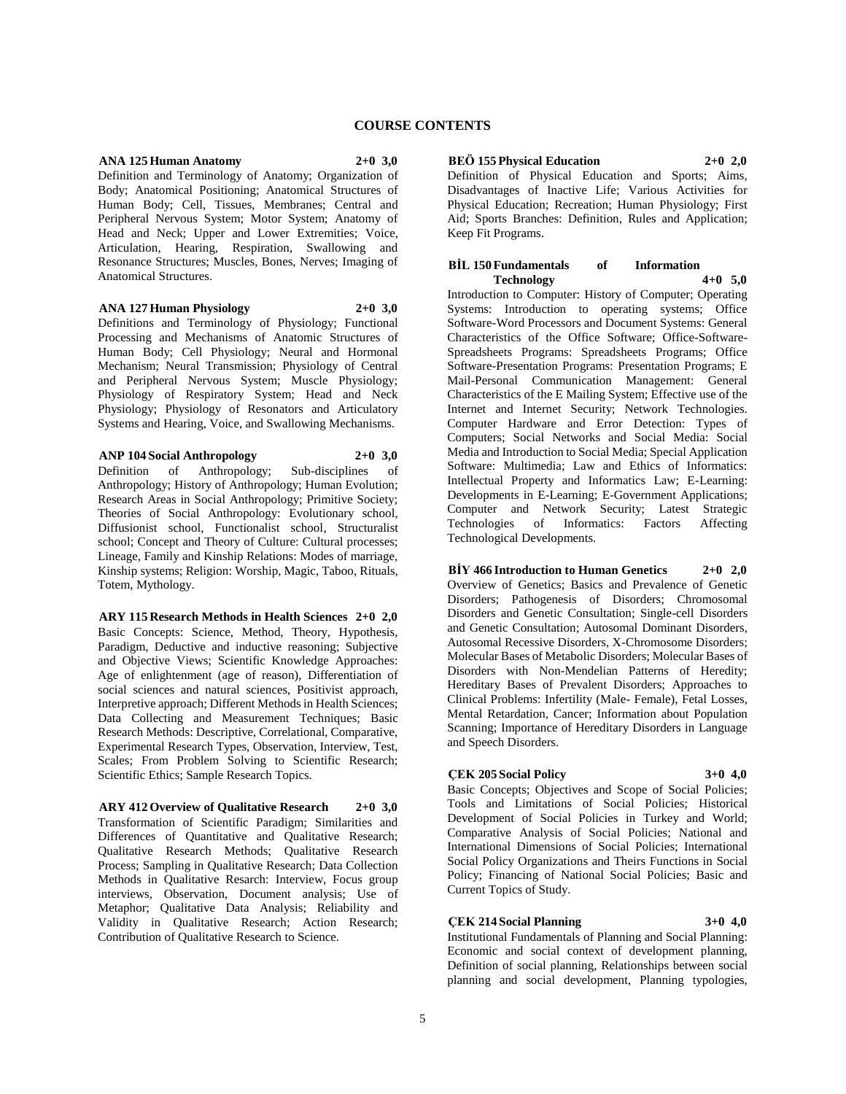# **COURSE CONTENTS**

### **ANA 125 Human Anatomy 2+0 3,0**

Definition and Terminology of Anatomy; Organization of Body; Anatomical Positioning; Anatomical Structures of Human Body; Cell, Tissues, Membranes; Central and Peripheral Nervous System; Motor System; Anatomy of Head and Neck; Upper and Lower Extremities; Voice, Articulation, Hearing, Respiration, Swallowing and Resonance Structures; Muscles, Bones, Nerves; Imaging of Anatomical Structures.

#### **ANA 127 Human Physiology 2+0 3,0**

Definitions and Terminology of Physiology; Functional Processing and Mechanisms of Anatomic Structures of Human Body; Cell Physiology; Neural and Hormonal Mechanism; Neural Transmission; Physiology of Central and Peripheral Nervous System; Muscle Physiology; Physiology of Respiratory System; Head and Neck Physiology; Physiology of Resonators and Articulatory Systems and Hearing, Voice, and Swallowing Mechanisms.

**ANP 104 Social Anthropology 2+0 3,0** Definition of Anthropology; Sub-disciplines of Anthropology; History of Anthropology; Human Evolution; Research Areas in Social Anthropology; Primitive Society; Theories of Social Anthropology: Evolutionary school, Diffusionist school, Functionalist school, Structuralist school; Concept and Theory of Culture: Cultural processes; Lineage, Family and Kinship Relations: Modes of marriage, Kinship systems; Religion: Worship, Magic, Taboo, Rituals, Totem, Mythology.

**ARY 115 Research Methods in Health Sciences 2+0 2,0** Basic Concepts: Science, Method, Theory, Hypothesis, Paradigm, Deductive and inductive reasoning; Subjective and Objective Views; Scientific Knowledge Approaches: Age of enlightenment (age of reason), Differentiation of social sciences and natural sciences, Positivist approach, Interpretive approach; Different Methods in Health Sciences; Data Collecting and Measurement Techniques; Basic Research Methods: Descriptive, Correlational, Comparative, Experimental Research Types, Observation, Interview, Test, Scales; From Problem Solving to Scientific Research; Scientific Ethics; Sample Research Topics.

**ARY 412 Overview of Qualitative Research 2+0 3,0** Transformation of Scientific Paradigm; Similarities and Differences of Quantitative and Qualitative Research; Qualitative Research Methods; Qualitative Research Process; Sampling in Qualitative Research; Data Collection Methods in Qualitative Resarch: Interview, Focus group interviews, Observation, Document analysis; Use of Metaphor; Qualitative Data Analysis; Reliability and Validity in Qualitative Research; Action Research; Contribution of Qualitative Research to Science.

**BEÖ 155 Physical Education 2+0 2,0**

Definition of Physical Education and Sports; Aims, Disadvantages of Inactive Life; Various Activities for Physical Education; Recreation; Human Physiology; First Aid; Sports Branches: Definition, Rules and Application; Keep Fit Programs.

### **BİL 150 Fundamentals of Information Technology 4+0 5,0**

Introduction to Computer: History of Computer; Operating Systems: Introduction to operating systems; Office Software-Word Processors and Document Systems: General Characteristics of the Office Software; Office-Software-Spreadsheets Programs: Spreadsheets Programs; Office Software-Presentation Programs: Presentation Programs; E Mail-Personal Communication Management: General Characteristics of the E Mailing System; Effective use of the Internet and Internet Security; Network Technologies. Computer Hardware and Error Detection: Types of Computers; Social Networks and Social Media: Social Media and Introduction to Social Media; Special Application Software: Multimedia; Law and Ethics of Informatics: Intellectual Property and Informatics Law; E-Learning: Developments in E-Learning; E-Government Applications; Computer and Network Security; Latest Strategic Technologies of Informatics: Factors Affecting Technological Developments.

**BİY 466 Introduction to Human Genetics 2+0 2,0** Overview of Genetics; Basics and Prevalence of Genetic Disorders; Pathogenesis of Disorders; Chromosomal Disorders and Genetic Consultation; Single-cell Disorders and Genetic Consultation; Autosomal Dominant Disorders, Autosomal Recessive Disorders, X-Chromosome Disorders; Molecular Bases of Metabolic Disorders; Molecular Bases of Disorders with Non-Mendelian Patterns of Heredity; Hereditary Bases of Prevalent Disorders; Approaches to Clinical Problems: Infertility (Male- Female), Fetal Losses, Mental Retardation, Cancer; Information about Population Scanning; Importance of Hereditary Disorders in Language and Speech Disorders.

### **ÇEK 205 Social Policy 3+0 4,0**

Basic Concepts; Objectives and Scope of Social Policies; Tools and Limitations of Social Policies; Historical Development of Social Policies in Turkey and World; Comparative Analysis of Social Policies; National and International Dimensions of Social Policies; International Social Policy Organizations and Theirs Functions in Social Policy; Financing of National Social Policies; Basic and Current Topics of Study.

### **ÇEK 214 Social Planning 3+0 4,0**

Institutional Fundamentals of Planning and Social Planning: Economic and social context of development planning, Definition of social planning, Relationships between social planning and social development, Planning typologies,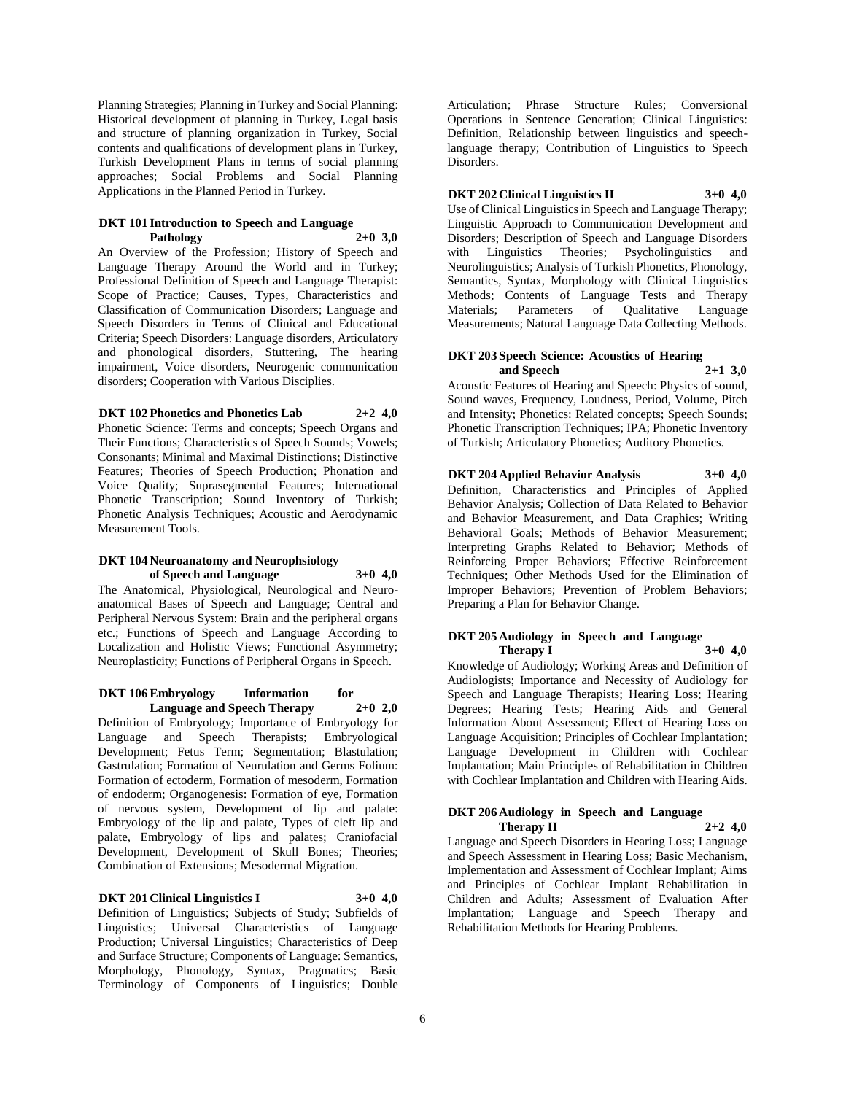Planning Strategies; Planning in Turkey and Social Planning: Historical development of planning in Turkey, Legal basis and structure of planning organization in Turkey, Social contents and qualifications of development plans in Turkey, Turkish Development Plans in terms of social planning approaches; Social Problems and Social Planning Applications in the Planned Period in Turkey.

### **DKT 101 Introduction to Speech and Language Pathology 2+0 3,0**

An Overview of the Profession; History of Speech and Language Therapy Around the World and in Turkey; Professional Definition of Speech and Language Therapist: Scope of Practice; Causes, Types, Characteristics and Classification of Communication Disorders; Language and Speech Disorders in Terms of Clinical and Educational Criteria; Speech Disorders: Language disorders, Articulatory and phonological disorders, Stuttering, The hearing impairment, Voice disorders, Neurogenic communication disorders; Cooperation with Various Disciplies.

### **DKT 102 Phonetics and Phonetics Lab 2+2 4,0**

Phonetic Science: Terms and concepts; Speech Organs and Their Functions; Characteristics of Speech Sounds; Vowels; Consonants; Minimal and Maximal Distinctions; Distinctive Features; Theories of Speech Production; Phonation and Voice Quality; Suprasegmental Features; International Phonetic Transcription; Sound Inventory of Turkish; Phonetic Analysis Techniques; Acoustic and Aerodynamic Measurement Tools.

### **DKT 104 Neuroanatomy and Neurophsiology of Speech and Language 3+0 4,0**

The Anatomical, Physiological, Neurological and Neuroanatomical Bases of Speech and Language; Central and Peripheral Nervous System: Brain and the peripheral organs etc.; Functions of Speech and Language According to Localization and Holistic Views; Functional Asymmetry; Neuroplasticity; Functions of Peripheral Organs in Speech.

### **DKT 106 Embryology Information for Language and Speech Therapy 2+0 2,0**

Definition of Embryology; Importance of Embryology for Language and Speech Therapists; Embryological Development; Fetus Term; Segmentation; Blastulation; Gastrulation; Formation of Neurulation and Germs Folium: Formation of ectoderm, Formation of mesoderm, Formation of endoderm; Organogenesis: Formation of eye, Formation of nervous system, Development of lip and palate: Embryology of the lip and palate, Types of cleft lip and palate, Embryology of lips and palates; Craniofacial Development, Development of Skull Bones; Theories; Combination of Extensions; Mesodermal Migration.

# **DKT 201 Clinical Linguistics I 3+0 4,0**

Definition of Linguistics; Subjects of Study; Subfields of Linguistics; Universal Characteristics of Language Production; Universal Linguistics; Characteristics of Deep and Surface Structure; Components of Language: Semantics, Morphology, Phonology, Syntax, Pragmatics; Basic Terminology of Components of Linguistics; Double

Articulation; Phrase Structure Rules; Conversional Operations in Sentence Generation; Clinical Linguistics: Definition, Relationship between linguistics and speechlanguage therapy; Contribution of Linguistics to Speech Disorders.

# **DKT 202 Clinical Linguistics II 3+0 4,0**

Use of Clinical Linguistics in Speech and Language Therapy; Linguistic Approach to Communication Development and Disorders; Description of Speech and Language Disorders with Linguistics Theories; Psycholinguistics and Neurolinguistics; Analysis of Turkish Phonetics, Phonology, Semantics, Syntax, Morphology with Clinical Linguistics Methods; Contents of Language Tests and Therapy Materials; Parameters of Qualitative Language Measurements; Natural Language Data Collecting Methods.

### **DKT 203 Speech Science: Acoustics of Hearing and Speech 2+1 3,0**

Acoustic Features of Hearing and Speech: Physics of sound, Sound waves, Frequency, Loudness, Period, Volume, Pitch and Intensity; Phonetics: Related concepts; Speech Sounds; Phonetic Transcription Techniques; IPA; Phonetic Inventory of Turkish; Articulatory Phonetics; Auditory Phonetics.

**DKT 204 Applied Behavior Analysis 3+0 4,0** Definition, Characteristics and Principles of Applied Behavior Analysis; Collection of Data Related to Behavior and Behavior Measurement, and Data Graphics; Writing Behavioral Goals; Methods of Behavior Measurement; Interpreting Graphs Related to Behavior; Methods of Reinforcing Proper Behaviors; Effective Reinforcement Techniques; Other Methods Used for the Elimination of Improper Behaviors; Prevention of Problem Behaviors; Preparing a Plan for Behavior Change.

# **DKT 205 Audiology in Speech and Language Therapy I 3+0 4,0**

Knowledge of Audiology; Working Areas and Definition of Audiologists; Importance and Necessity of Audiology for Speech and Language Therapists; Hearing Loss; Hearing Degrees; Hearing Tests; Hearing Aids and General Information About Assessment; Effect of Hearing Loss on Language Acquisition; Principles of Cochlear Implantation; Language Development in Children with Cochlear Implantation; Main Principles of Rehabilitation in Children with Cochlear Implantation and Children with Hearing Aids.

### **DKT 206 Audiology in Speech and Language Therapy II 2+2 4,0**

Language and Speech Disorders in Hearing Loss; Language and Speech Assessment in Hearing Loss; Basic Mechanism, Implementation and Assessment of Cochlear Implant; Aims and Principles of Cochlear Implant Rehabilitation in Children and Adults; Assessment of Evaluation After Implantation; Language and Speech Therapy and Rehabilitation Methods for Hearing Problems.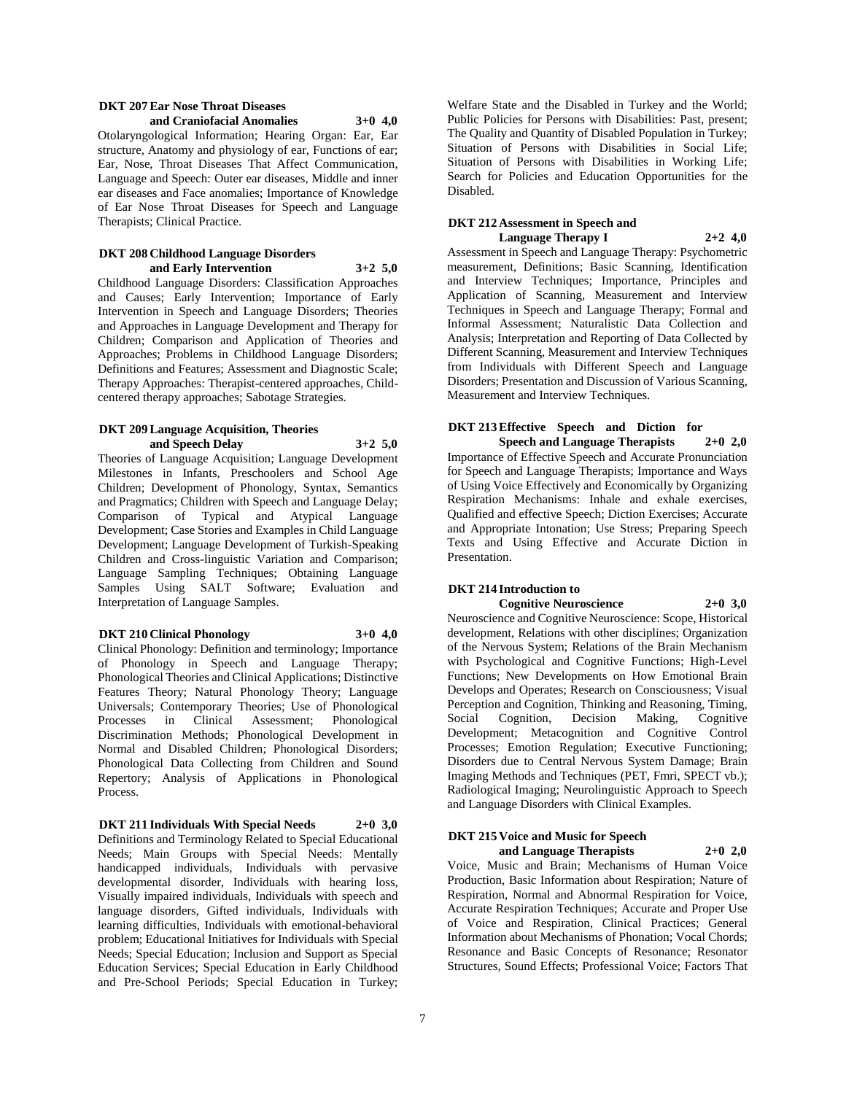### **DKT 207 Ear Nose Throat Diseases and Craniofacial Anomalies 3+0 4,0**

Otolaryngological Information; Hearing Organ: Ear, Ear structure, Anatomy and physiology of ear, Functions of ear; Ear, Nose, Throat Diseases That Affect Communication, Language and Speech: Outer ear diseases, Middle and inner ear diseases and Face anomalies; Importance of Knowledge of Ear Nose Throat Diseases for Speech and Language Therapists; Clinical Practice.

### **DKT 208 Childhood Language Disorders and Early Intervention 3+2 5,0**

Childhood Language Disorders: Classification Approaches and Causes; Early Intervention; Importance of Early Intervention in Speech and Language Disorders; Theories and Approaches in Language Development and Therapy for Children; Comparison and Application of Theories and Approaches; Problems in Childhood Language Disorders; Definitions and Features; Assessment and Diagnostic Scale; Therapy Approaches: Therapist-centered approaches, Childcentered therapy approaches; Sabotage Strategies.

#### **DKT 209 Language Acquisition, Theories and Speech Delay 3+2 5,0**

Theories of Language Acquisition; Language Development Milestones in Infants, Preschoolers and School Age Children; Development of Phonology, Syntax, Semantics and Pragmatics; Children with Speech and Language Delay; Comparison of Typical and Atypical Language Development; Case Stories and Examples in Child Language Development; Language Development of Turkish-Speaking Children and Cross-linguistic Variation and Comparison; Language Sampling Techniques; Obtaining Language Samples Using SALT Software; Evaluation and Interpretation of Language Samples.

### **DKT 210 Clinical Phonology 3+0 4,0**

Clinical Phonology: Definition and terminology; Importance of Phonology in Speech and Language Therapy; Phonological Theories and Clinical Applications; Distinctive Features Theory; Natural Phonology Theory; Language Universals; Contemporary Theories; Use of Phonological Processes in Clinical Assessment; Phonological Discrimination Methods; Phonological Development in Normal and Disabled Children; Phonological Disorders; Phonological Data Collecting from Children and Sound Repertory; Analysis of Applications in Phonological Process.

**DKT 211 Individuals With Special Needs 2+0 3,0** Definitions and Terminology Related to Special Educational Needs; Main Groups with Special Needs: Mentally handicapped individuals, Individuals with pervasive developmental disorder, Individuals with hearing loss, Visually impaired individuals, Individuals with speech and language disorders, Gifted individuals, Individuals with learning difficulties, Individuals with emotional-behavioral problem; Educational Initiatives for Individuals with Special Needs; Special Education; Inclusion and Support as Special Education Services; Special Education in Early Childhood and Pre-School Periods; Special Education in Turkey;

Welfare State and the Disabled in Turkey and the World; Public Policies for Persons with Disabilities: Past, present; The Quality and Quantity of Disabled Population in Turkey; Situation of Persons with Disabilities in Social Life; Situation of Persons with Disabilities in Working Life; Search for Policies and Education Opportunities for the Disabled.

### **DKT 212 Assessment in Speech and Language Therapy I 2+2 4,0**

Assessment in Speech and Language Therapy: Psychometric measurement, Definitions; Basic Scanning, Identification and Interview Techniques; Importance, Principles and Application of Scanning, Measurement and Interview Techniques in Speech and Language Therapy; Formal and Informal Assessment; Naturalistic Data Collection and Analysis; Interpretation and Reporting of Data Collected by Different Scanning, Measurement and Interview Techniques from Individuals with Different Speech and Language Disorders; Presentation and Discussion of Various Scanning, Measurement and Interview Techniques.

# **DKT** 213 Effective Speech and Diction for<br>Speech and Language Therapists 2+0 2.0

**Speech and Language Therapists 2+0 2,0** Importance of Effective Speech and Accurate Pronunciation for Speech and Language Therapists; Importance and Ways of Using Voice Effectively and Economically by Organizing Respiration Mechanisms: Inhale and exhale exercises, Qualified and effective Speech; Diction Exercises; Accurate and Appropriate Intonation; Use Stress; Preparing Speech Texts and Using Effective and Accurate Diction in Presentation.

# **DKT 214 Introduction to Cognitive Neuroscience 2+0 3,0**

Neuroscience and Cognitive Neuroscience: Scope, Historical development, Relations with other disciplines; Organization of the Nervous System; Relations of the Brain Mechanism with Psychological and Cognitive Functions; High-Level Functions; New Developments on How Emotional Brain Develops and Operates; Research on Consciousness; Visual Perception and Cognition, Thinking and Reasoning, Timing, Social Cognition, Decision Making, Cognitive Development; Metacognition and Cognitive Control Processes; Emotion Regulation; Executive Functioning; Disorders due to Central Nervous System Damage; Brain Imaging Methods and Techniques (PET, Fmri, SPECT vb.); Radiological Imaging; Neurolinguistic Approach to Speech and Language Disorders with Clinical Examples.

### **DKT 215 Voice and Music for Speech and Language Therapists 2+0 2,0**

Voice, Music and Brain; Mechanisms of Human Voice Production, Basic Information about Respiration; Nature of Respiration, Normal and Abnormal Respiration for Voice, Accurate Respiration Techniques; Accurate and Proper Use of Voice and Respiration, Clinical Practices; General Information about Mechanisms of Phonation; Vocal Chords; Resonance and Basic Concepts of Resonance; Resonator Structures, Sound Effects; Professional Voice; Factors That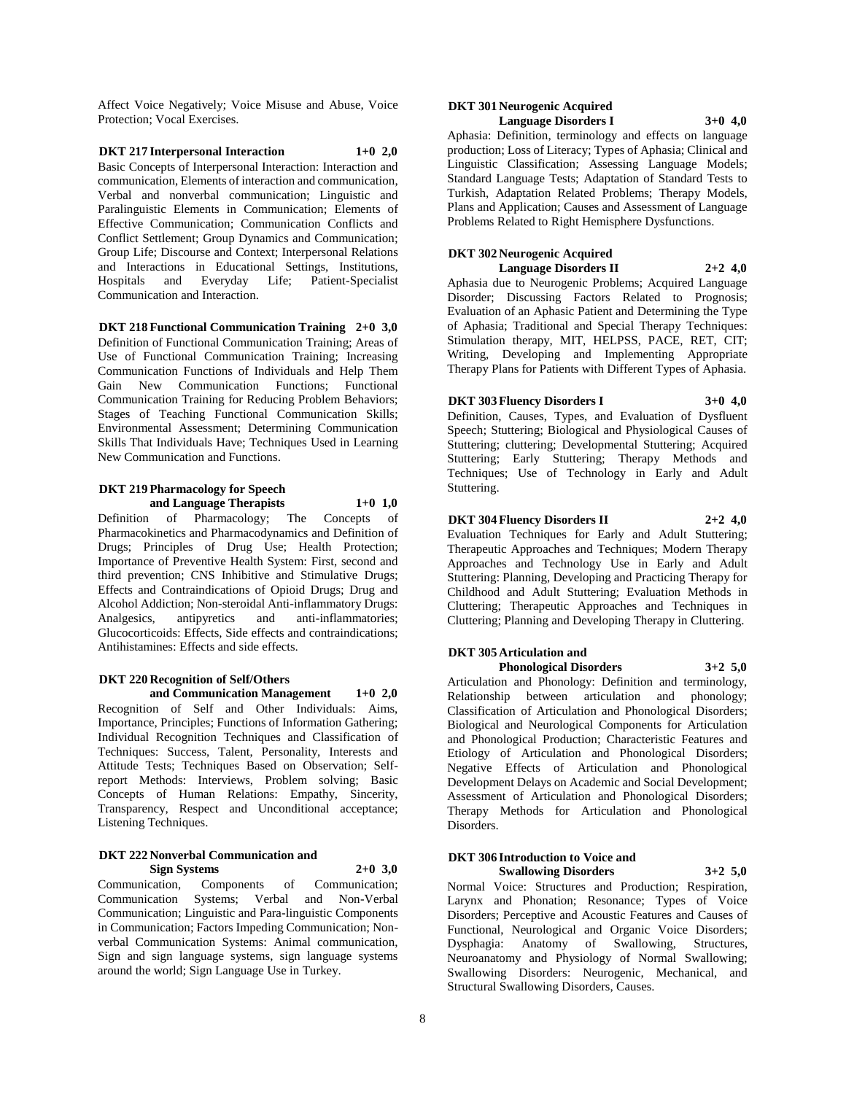Affect Voice Negatively; Voice Misuse and Abuse, Voice Protection; Vocal Exercises.

**DKT 217 Interpersonal Interaction 1+0 2,0** Basic Concepts of Interpersonal Interaction: Interaction and communication, Elements of interaction and communication, Verbal and nonverbal communication; Linguistic and Paralinguistic Elements in Communication; Elements of Effective Communication; Communication Conflicts and Conflict Settlement; Group Dynamics and Communication; Group Life; Discourse and Context; Interpersonal Relations and Interactions in Educational Settings, Institutions, Hospitals and Everyday Life; Patient-Specialist Communication and Interaction.

### **DKT 218 Functional Communication Training 2+0 3,0**

Definition of Functional Communication Training; Areas of Use of Functional Communication Training; Increasing Communication Functions of Individuals and Help Them Gain New Communication Functions; Functional Communication Training for Reducing Problem Behaviors; Stages of Teaching Functional Communication Skills; Environmental Assessment; Determining Communication Skills That Individuals Have; Techniques Used in Learning New Communication and Functions.

### **DKT 219 Pharmacology for Speech and Language Therapists 1+0 1,0**

Definition of Pharmacology; The Concepts of Pharmacokinetics and Pharmacodynamics and Definition of Drugs; Principles of Drug Use; Health Protection; Importance of Preventive Health System: First, second and third prevention; CNS Inhibitive and Stimulative Drugs; Effects and Contraindications of Opioid Drugs; Drug and Alcohol Addiction; Non-steroidal Anti-inflammatory Drugs: Analgesics, antipyretics and anti-inflammatories; Glucocorticoids: Effects, Side effects and contraindications; Antihistamines: Effects and side effects.

### **DKT 220 Recognition of Self/Others**

**and Communication Management 1+0 2,0** Recognition of Self and Other Individuals: Aims, Importance, Principles; Functions of Information Gathering; Individual Recognition Techniques and Classification of Techniques: Success, Talent, Personality, Interests and Attitude Tests; Techniques Based on Observation; Selfreport Methods: Interviews, Problem solving; Basic Concepts of Human Relations: Empathy, Sincerity, Transparency, Respect and Unconditional acceptance; Listening Techniques.

### **DKT 222 Nonverbal Communication and Sign Systems 2+0 3,0**

Communication, Components of Communication; Communication Systems; Verbal and Non-Verbal Communication; Linguistic and Para-linguistic Components in Communication; Factors Impeding Communication; Nonverbal Communication Systems: Animal communication, Sign and sign language systems, sign language systems around the world; Sign Language Use in Turkey.

### **DKT 301 Neurogenic Acquired Language Disorders I 3+0 4,0**

Aphasia: Definition, terminology and effects on language production; Loss of Literacy; Types of Aphasia; Clinical and Linguistic Classification; Assessing Language Models; Standard Language Tests; Adaptation of Standard Tests to Turkish, Adaptation Related Problems; Therapy Models, Plans and Application; Causes and Assessment of Language Problems Related to Right Hemisphere Dysfunctions.

### **DKT 302 Neurogenic Acquired**

**Language Disorders II 2+2 4,0**

Aphasia due to Neurogenic Problems; Acquired Language Disorder; Discussing Factors Related to Prognosis; Evaluation of an Aphasic Patient and Determining the Type of Aphasia; Traditional and Special Therapy Techniques: Stimulation therapy, MIT, HELPSS, PACE, RET, CIT; Writing, Developing and Implementing Appropriate Therapy Plans for Patients with Different Types of Aphasia.

### **DKT 303 Fluency Disorders I 3+0 4,0**

Definition, Causes, Types, and Evaluation of Dysfluent Speech; Stuttering; Biological and Physiological Causes of Stuttering; cluttering; Developmental Stuttering; Acquired Stuttering; Early Stuttering; Therapy Methods and Techniques; Use of Technology in Early and Adult Stuttering.

### **DKT 304 Fluency Disorders II 2+2 4,0**

Evaluation Techniques for Early and Adult Stuttering; Therapeutic Approaches and Techniques; Modern Therapy Approaches and Technology Use in Early and Adult Stuttering: Planning, Developing and Practicing Therapy for Childhood and Adult Stuttering; Evaluation Methods in Cluttering; Therapeutic Approaches and Techniques in Cluttering; Planning and Developing Therapy in Cluttering.

### **DKT 305 Articulation and**

**Phonological Disorders 3+2 5,0** Articulation and Phonology: Definition and terminology, Relationship between articulation and phonology; Classification of Articulation and Phonological Disorders; Biological and Neurological Components for Articulation and Phonological Production; Characteristic Features and Etiology of Articulation and Phonological Disorders; Negative Effects of Articulation and Phonological Development Delays on Academic and Social Development; Assessment of Articulation and Phonological Disorders; Therapy Methods for Articulation and Phonological Disorders.

### **DKT 306 Introduction to Voice and Swallowing Disorders 3+2 5,0**

Normal Voice: Structures and Production; Respiration, Larynx and Phonation; Resonance; Types of Voice Disorders; Perceptive and Acoustic Features and Causes of Functional, Neurological and Organic Voice Disorders; Dysphagia: Anatomy of Swallowing, Structures, Neuroanatomy and Physiology of Normal Swallowing; Swallowing Disorders: Neurogenic, Mechanical, and Structural Swallowing Disorders, Causes.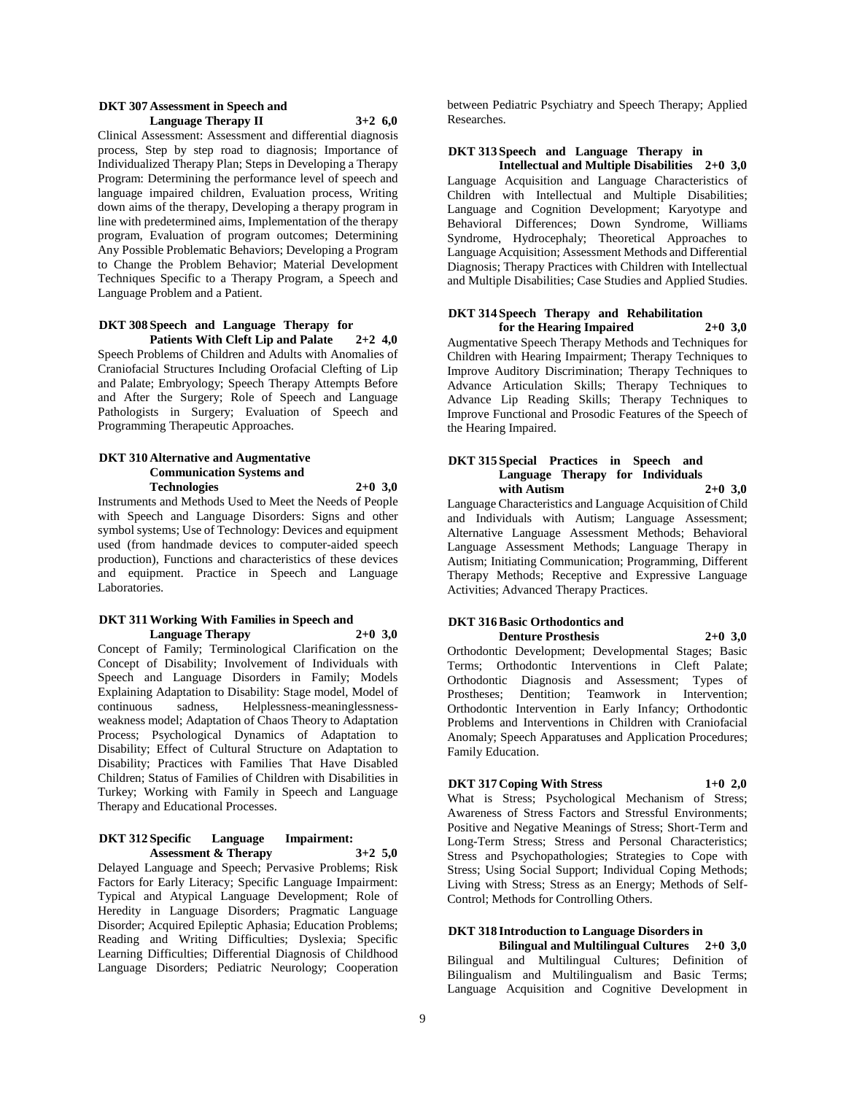### **DKT 307 Assessment in Speech and Language Therapy II 3+2 6,0**

Clinical Assessment: Assessment and differential diagnosis process, Step by step road to diagnosis; Importance of Individualized Therapy Plan; Steps in Developing a Therapy Program: Determining the performance level of speech and language impaired children, Evaluation process, Writing down aims of the therapy, Developing a therapy program in line with predetermined aims, Implementation of the therapy program, Evaluation of program outcomes; Determining Any Possible Problematic Behaviors; Developing a Program to Change the Problem Behavior; Material Development Techniques Specific to a Therapy Program, a Speech and Language Problem and a Patient.

### **DKT 308 Speech and Language Therapy for Patients With Cleft Lip and Palate 2+2 4,0**

Speech Problems of Children and Adults with Anomalies of Craniofacial Structures Including Orofacial Clefting of Lip and Palate; Embryology; Speech Therapy Attempts Before and After the Surgery; Role of Speech and Language Pathologists in Surgery; Evaluation of Speech and Programming Therapeutic Approaches.

### **DKT 310 Alternative and Augmentative Communication Systems and Technologies 2+0 3,0**

Instruments and Methods Used to Meet the Needs of People with Speech and Language Disorders: Signs and other symbol systems; Use of Technology: Devices and equipment used (from handmade devices to computer-aided speech production), Functions and characteristics of these devices and equipment. Practice in Speech and Language Laboratories.

### **DKT 311 Working With Families in Speech and Language Therapy 2+0 3,0**

Concept of Family; Terminological Clarification on the Concept of Disability; Involvement of Individuals with Speech and Language Disorders in Family; Models Explaining Adaptation to Disability: Stage model, Model of continuous sadness, Helplessness-meaninglessnessweakness model; Adaptation of Chaos Theory to Adaptation Process; Psychological Dynamics of Adaptation to Disability; Effect of Cultural Structure on Adaptation to Disability; Practices with Families That Have Disabled Children; Status of Families of Children with Disabilities in Turkey; Working with Family in Speech and Language Therapy and Educational Processes.

#### **DKT 312 Specific Language Impairment: Assessment & Therapy 3+2 5,0**

Delayed Language and Speech; Pervasive Problems; Risk Factors for Early Literacy; Specific Language Impairment: Typical and Atypical Language Development; Role of Heredity in Language Disorders; Pragmatic Language Disorder; Acquired Epileptic Aphasia; Education Problems; Reading and Writing Difficulties; Dyslexia; Specific Learning Difficulties; Differential Diagnosis of Childhood Language Disorders; Pediatric Neurology; Cooperation

between Pediatric Psychiatry and Speech Therapy; Applied Researches.

# **DKT 313 Speech and Language Therapy in**

**Intellectual and Multiple Disabilities 2+0 3,0** Language Acquisition and Language Characteristics of Children with Intellectual and Multiple Disabilities; Language and Cognition Development; Karyotype and Behavioral Differences; Down Syndrome, Williams Syndrome, Hydrocephaly; Theoretical Approaches to Language Acquisition; Assessment Methods and Differential Diagnosis; Therapy Practices with Children with Intellectual and Multiple Disabilities; Case Studies and Applied Studies.

### **DKT 314 Speech Therapy and Rehabilitation for the Hearing Impaired 2+0 3,0**

Augmentative Speech Therapy Methods and Techniques for Children with Hearing Impairment; Therapy Techniques to Improve Auditory Discrimination; Therapy Techniques to Advance Articulation Skills; Therapy Techniques to Advance Lip Reading Skills; Therapy Techniques to Improve Functional and Prosodic Features of the Speech of the Hearing Impaired.

### **DKT 315 Special Practices in Speech and Language Therapy for Individuals with Autism 2+0 3,0**

Language Characteristics and Language Acquisition of Child and Individuals with Autism; Language Assessment; Alternative Language Assessment Methods; Behavioral Language Assessment Methods; Language Therapy in Autism; Initiating Communication; Programming, Different Therapy Methods; Receptive and Expressive Language Activities; Advanced Therapy Practices.

### **DKT 316 Basic Orthodontics and Denture Prosthesis 2+0 3,0**

Orthodontic Development; Developmental Stages; Basic Terms; Orthodontic Interventions in Cleft Palate; Orthodontic Diagnosis and Assessment; Types of Prostheses; Dentition; Teamwork in Intervention; Orthodontic Intervention in Early Infancy; Orthodontic Problems and Interventions in Children with Craniofacial Anomaly; Speech Apparatuses and Application Procedures; Family Education.

### **DKT 317 Coping With Stress 1+0 2,0**

What is Stress; Psychological Mechanism of Stress; Awareness of Stress Factors and Stressful Environments; Positive and Negative Meanings of Stress; Short-Term and Long-Term Stress; Stress and Personal Characteristics; Stress and Psychopathologies; Strategies to Cope with Stress; Using Social Support; Individual Coping Methods; Living with Stress; Stress as an Energy; Methods of Self-Control; Methods for Controlling Others.

# **DKT 318 Introduction to Language Disorders in**

**Bilingual and Multilingual Cultures 2+0 3,0** Bilingual and Multilingual Cultures; Definition of Bilingualism and Multilingualism and Basic Terms; Language Acquisition and Cognitive Development in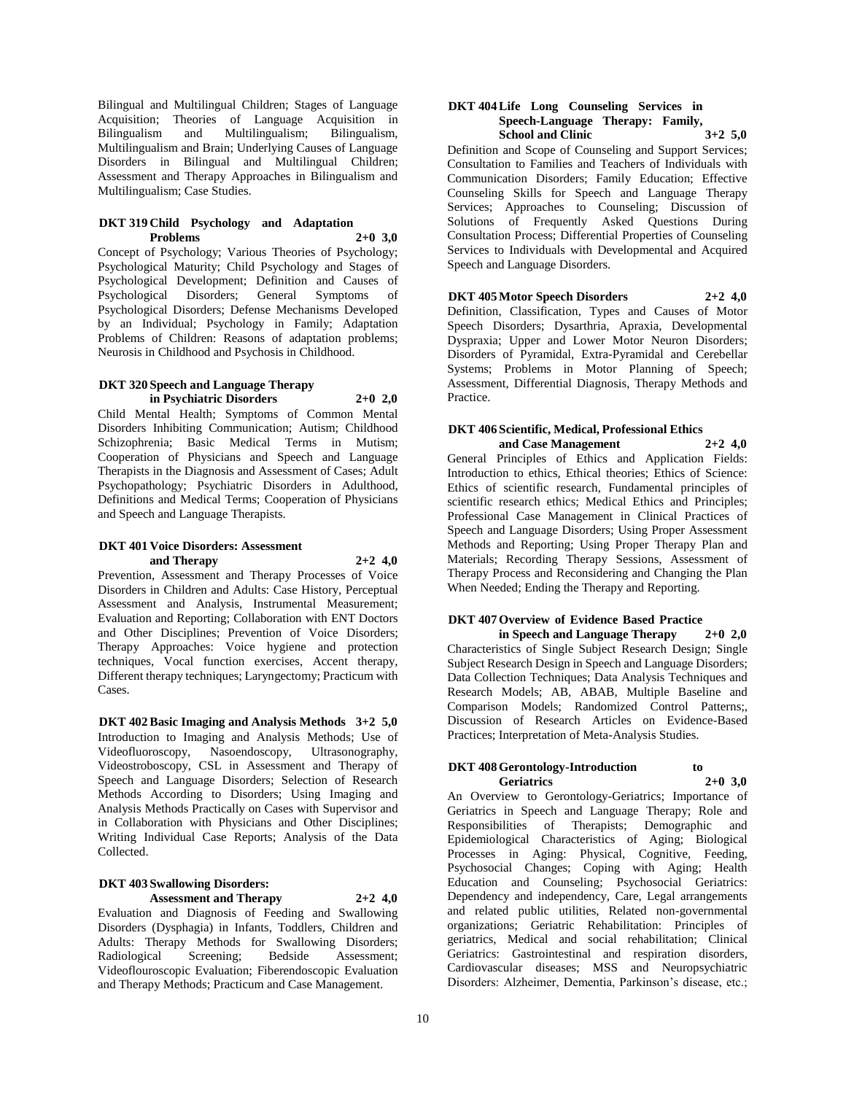Bilingual and Multilingual Children; Stages of Language Acquisition; Theories of Language Acquisition in Bilingualism and Multilingualism; Bilingualism, Multilingualism and Brain; Underlying Causes of Language Disorders in Bilingual and Multilingual Children; Assessment and Therapy Approaches in Bilingualism and Multilingualism; Case Studies.

### **DKT 319 Child Psychology and Adaptation Problems 2+0 3,0**

Concept of Psychology; Various Theories of Psychology; Psychological Maturity; Child Psychology and Stages of Psychological Development; Definition and Causes of Psychological Disorders; General Symptoms of Psychological Disorders; Defense Mechanisms Developed by an Individual; Psychology in Family; Adaptation Problems of Children: Reasons of adaptation problems; Neurosis in Childhood and Psychosis in Childhood.

### **DKT 320 Speech and Language Therapy in Psychiatric Disorders 2+0 2,0**

Child Mental Health; Symptoms of Common Mental Disorders Inhibiting Communication; Autism; Childhood Schizophrenia; Basic Medical Terms in Mutism; Cooperation of Physicians and Speech and Language Therapists in the Diagnosis and Assessment of Cases; Adult Psychopathology; Psychiatric Disorders in Adulthood, Definitions and Medical Terms; Cooperation of Physicians and Speech and Language Therapists.

### **DKT 401 Voice Disorders: Assessment and Therapy 2+2 4,0**

Prevention, Assessment and Therapy Processes of Voice Disorders in Children and Adults: Case History, Perceptual Assessment and Analysis, Instrumental Measurement; Evaluation and Reporting; Collaboration with ENT Doctors and Other Disciplines; Prevention of Voice Disorders; Therapy Approaches: Voice hygiene and protection techniques, Vocal function exercises, Accent therapy, Different therapy techniques; Laryngectomy; Practicum with Cases.

**DKT 402 Basic Imaging and Analysis Methods 3+2 5,0** Introduction to Imaging and Analysis Methods; Use of Videofluoroscopy, Nasoendoscopy, Ultrasonography, Videostroboscopy, CSL in Assessment and Therapy of Speech and Language Disorders; Selection of Research Methods According to Disorders; Using Imaging and Analysis Methods Practically on Cases with Supervisor and in Collaboration with Physicians and Other Disciplines; Writing Individual Case Reports; Analysis of the Data Collected.

# **DKT 403 Swallowing Disorders: Assessment and Therapy 2+2 4,0**

Evaluation and Diagnosis of Feeding and Swallowing Disorders (Dysphagia) in Infants, Toddlers, Children and Adults: Therapy Methods for Swallowing Disorders;<br>
Radiological Screening: Bedside Assessment: Radiological Screening; Bedside Assessment; Videoflouroscopic Evaluation; Fiberendoscopic Evaluation and Therapy Methods; Practicum and Case Management.

### **DKT 404 Life Long Counseling Services in Speech-Language Therapy: Family, School and Clinic 3+2 5,0**

Definition and Scope of Counseling and Support Services; Consultation to Families and Teachers of Individuals with Communication Disorders; Family Education; Effective Counseling Skills for Speech and Language Therapy Services; Approaches to Counseling; Discussion of Solutions of Frequently Asked Questions During Consultation Process; Differential Properties of Counseling Services to Individuals with Developmental and Acquired Speech and Language Disorders.

# **DKT 405 Motor Speech Disorders 2+2 4,0**

Definition, Classification, Types and Causes of Motor Speech Disorders; Dysarthria, Apraxia, Developmental Dyspraxia; Upper and Lower Motor Neuron Disorders; Disorders of Pyramidal, Extra-Pyramidal and Cerebellar Systems; Problems in Motor Planning of Speech; Assessment, Differential Diagnosis, Therapy Methods and Practice.

# **DKT 406 Scientific, Medical, Professional Ethics**

**and Case Management 2+2 4,0** General Principles of Ethics and Application Fields: Introduction to ethics, Ethical theories; Ethics of Science: Ethics of scientific research, Fundamental principles of scientific research ethics; Medical Ethics and Principles; Professional Case Management in Clinical Practices of Speech and Language Disorders; Using Proper Assessment Methods and Reporting; Using Proper Therapy Plan and Materials; Recording Therapy Sessions, Assessment of Therapy Process and Reconsidering and Changing the Plan When Needed; Ending the Therapy and Reporting.

### **DKT 407 Overview of Evidence Based Practice in Speech and Language Therapy 2+0 2,0**

Characteristics of Single Subject Research Design; Single Subject Research Design in Speech and Language Disorders; Data Collection Techniques; Data Analysis Techniques and Research Models; AB, ABAB, Multiple Baseline and Comparison Models; Randomized Control Patterns;, Discussion of Research Articles on Evidence-Based Practices; Interpretation of Meta-Analysis Studies.

### **DKT 408 Gerontology-Introduction to Geriatrics 2+0 3,0**

An Overview to Gerontology-Geriatrics; Importance of Geriatrics in Speech and Language Therapy; Role and Responsibilities of Therapists; Demographic and Epidemiological Characteristics of Aging; Biological Processes in Aging: Physical, Cognitive, Feeding, Psychosocial Changes; Coping with Aging; Health Education and Counseling; Psychosocial Geriatrics: Dependency and independency, Care, Legal arrangements and related public utilities, Related non-governmental organizations; Geriatric Rehabilitation: Principles of geriatrics, Medical and social rehabilitation; Clinical Geriatrics: Gastrointestinal and respiration disorders, Cardiovascular diseases; MSS and Neuropsychiatric Disorders: Alzheimer, Dementia, Parkinson's disease, etc.;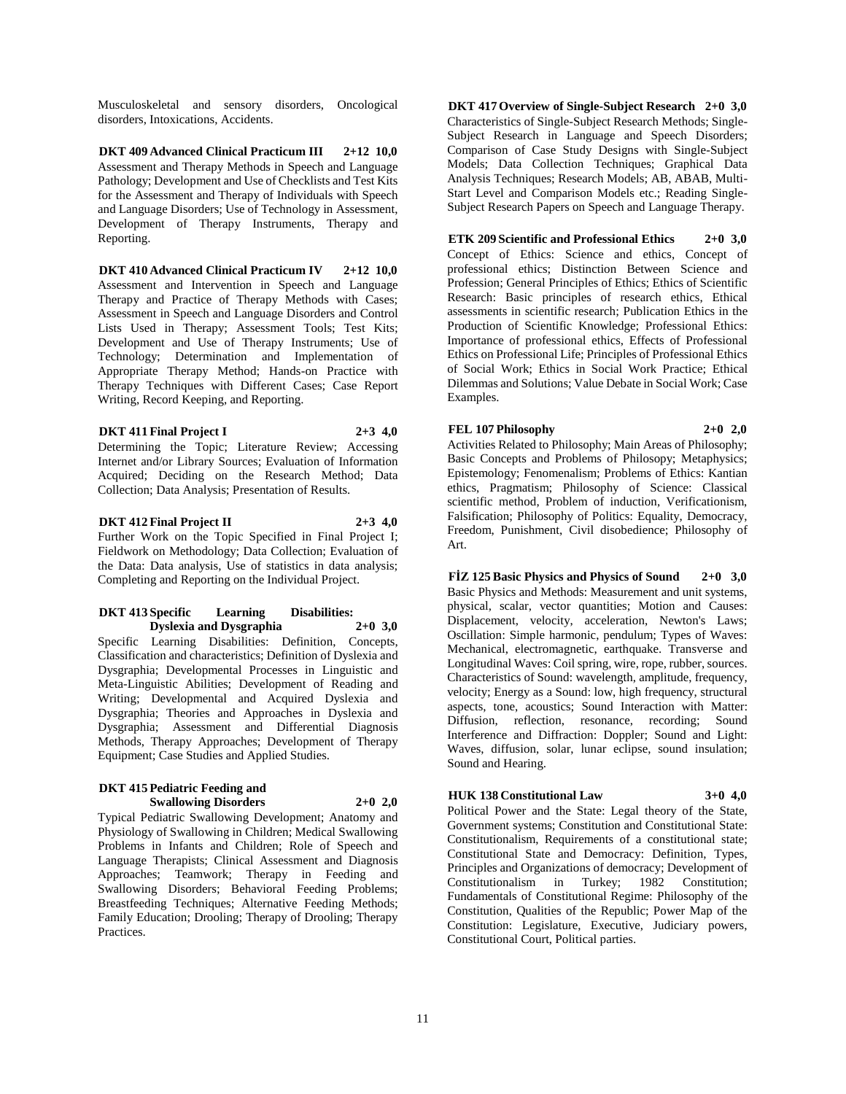Musculoskeletal and sensory disorders, Oncological disorders, Intoxications, Accidents.

**DKT 409 Advanced Clinical Practicum III 2+12 10,0** Assessment and Therapy Methods in Speech and Language Pathology; Development and Use of Checklists and Test Kits for the Assessment and Therapy of Individuals with Speech and Language Disorders; Use of Technology in Assessment, Development of Therapy Instruments, Therapy and Reporting.

**DKT 410 Advanced Clinical Practicum IV 2+12 10,0** Assessment and Intervention in Speech and Language Therapy and Practice of Therapy Methods with Cases; Assessment in Speech and Language Disorders and Control Lists Used in Therapy; Assessment Tools; Test Kits; Development and Use of Therapy Instruments; Use of Technology; Determination and Implementation of Appropriate Therapy Method; Hands-on Practice with Therapy Techniques with Different Cases; Case Report Writing, Record Keeping, and Reporting.

**DKT 411 Final Project I 2+3 4,0** Determining the Topic; Literature Review; Accessing Internet and/or Library Sources; Evaluation of Information Acquired; Deciding on the Research Method; Data Collection; Data Analysis; Presentation of Results.

**DKT 412 Final Project II 2+3 4,0** Further Work on the Topic Specified in Final Project I; Fieldwork on Methodology; Data Collection; Evaluation of the Data: Data analysis, Use of statistics in data analysis; Completing and Reporting on the Individual Project.

### **DKT 413 Specific Learning Disabilities: Dyslexia and Dysgraphia 2+0 3,0**

Specific Learning Disabilities: Definition, Concepts, Classification and characteristics; Definition of Dyslexia and Dysgraphia; Developmental Processes in Linguistic and Meta-Linguistic Abilities; Development of Reading and Writing; Developmental and Acquired Dyslexia and Dysgraphia; Theories and Approaches in Dyslexia and Dysgraphia; Assessment and Differential Diagnosis Methods, Therapy Approaches; Development of Therapy Equipment; Case Studies and Applied Studies.

### **DKT 415 Pediatric Feeding and Swallowing Disorders 2+0 2,0**

Typical Pediatric Swallowing Development; Anatomy and Physiology of Swallowing in Children; Medical Swallowing Problems in Infants and Children; Role of Speech and Language Therapists; Clinical Assessment and Diagnosis Approaches; Teamwork; Therapy in Feeding and Swallowing Disorders; Behavioral Feeding Problems; Breastfeeding Techniques; Alternative Feeding Methods; Family Education; Drooling; Therapy of Drooling; Therapy Practices.

**DKT 417 Overview of Single-Subject Research 2+0 3,0** Characteristics of Single-Subject Research Methods; Single-Subject Research in Language and Speech Disorders; Comparison of Case Study Designs with Single-Subject Models; Data Collection Techniques; Graphical Data Analysis Techniques; Research Models; AB, ABAB, Multi-Start Level and Comparison Models etc.; Reading Single-Subject Research Papers on Speech and Language Therapy.

### **ETK 209 Scientific and Professional Ethics 2+0 3,0**

Concept of Ethics: Science and ethics, Concept of professional ethics; Distinction Between Science and Profession; General Principles of Ethics; Ethics of Scientific Research: Basic principles of research ethics, Ethical assessments in scientific research; Publication Ethics in the Production of Scientific Knowledge; Professional Ethics: Importance of professional ethics, Effects of Professional Ethics on Professional Life; Principles of Professional Ethics of Social Work; Ethics in Social Work Practice; Ethical Dilemmas and Solutions; Value Debate in Social Work; Case Examples.

# **FEL 107 Philosophy 2+0 2,0**

Activities Related to Philosophy; Main Areas of Philosophy; Basic Concepts and Problems of Philosopy; Metaphysics; Epistemology; Fenomenalism; Problems of Ethics: Kantian ethics, Pragmatism; Philosophy of Science: Classical scientific method, Problem of induction, Verificationism, Falsification; Philosophy of Politics: Equality, Democracy, Freedom, Punishment, Civil disobedience; Philosophy of Art.

**FİZ 125 Basic Physics and Physics of Sound 2+0 3,0** Basic Physics and Methods: Measurement and unit systems, physical, scalar, vector quantities; Motion and Causes: Displacement, velocity, acceleration, Newton's Laws; Oscillation: Simple harmonic, pendulum; Types of Waves: Mechanical, electromagnetic, earthquake. Transverse and Longitudinal Waves: Coil spring, wire, rope, rubber, sources. Characteristics of Sound: wavelength, amplitude, frequency, velocity; Energy as a Sound: low, high frequency, structural aspects, tone, acoustics; Sound Interaction with Matter: Diffusion, reflection, resonance, recording; Sound Interference and Diffraction: Doppler; Sound and Light: Waves, diffusion, solar, lunar eclipse, sound insulation; Sound and Hearing.

### **HUK 138 Constitutional Law 3+0 4,0**

Political Power and the State: Legal theory of the State, Government systems; Constitution and Constitutional State: Constitutionalism, Requirements of a constitutional state; Constitutional State and Democracy: Definition, Types, Principles and Organizations of democracy; Development of Constitutionalism in Turkey; 1982 Constitution; Fundamentals of Constitutional Regime: Philosophy of the Constitution, Qualities of the Republic; Power Map of the Constitution: Legislature, Executive, Judiciary powers, Constitutional Court, Political parties.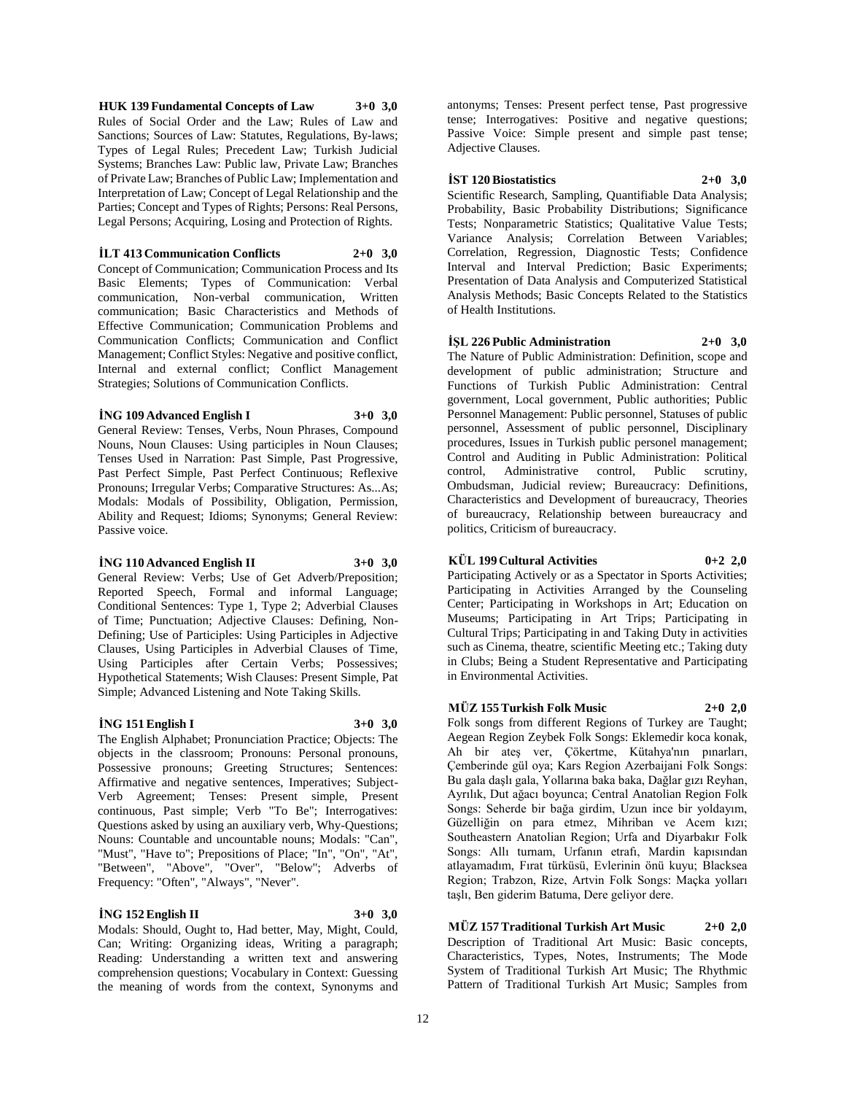**HUK 139 Fundamental Concepts of Law 3+0 3,0** Rules of Social Order and the Law; Rules of Law and Sanctions; Sources of Law: Statutes, Regulations, By-laws; Types of Legal Rules; Precedent Law; Turkish Judicial Systems; Branches Law: Public law, Private Law; Branches of Private Law; Branches of Public Law; Implementation and Interpretation of Law; Concept of Legal Relationship and the Parties; Concept and Types of Rights; Persons: Real Persons, Legal Persons; Acquiring, Losing and Protection of Rights.

**İLT 413 Communication Conflicts 2+0 3,0**

Concept of Communication; Communication Process and Its Basic Elements; Types of Communication: Verbal communication, Non-verbal communication, Written communication; Basic Characteristics and Methods of Effective Communication; Communication Problems and Communication Conflicts; Communication and Conflict Management; Conflict Styles: Negative and positive conflict, Internal and external conflict; Conflict Management Strategies; Solutions of Communication Conflicts.

#### **İNG 109 Advanced English I 3+0 3,0**

General Review: Tenses, Verbs, Noun Phrases, Compound Nouns, Noun Clauses: Using participles in Noun Clauses; Tenses Used in Narration: Past Simple, Past Progressive, Past Perfect Simple, Past Perfect Continuous; Reflexive Pronouns; Irregular Verbs; Comparative Structures: As...As; Modals: Modals of Possibility, Obligation, Permission, Ability and Request; Idioms; Synonyms; General Review: Passive voice.

### **İNG 110 Advanced English II 3+0 3,0**

General Review: Verbs; Use of Get Adverb/Preposition; Reported Speech, Formal and informal Language; Conditional Sentences: Type 1, Type 2; Adverbial Clauses of Time; Punctuation; Adjective Clauses: Defining, Non-Defining; Use of Participles: Using Participles in Adjective Clauses, Using Participles in Adverbial Clauses of Time, Using Participles after Certain Verbs; Possessives; Hypothetical Statements; Wish Clauses: Present Simple, Pat Simple; Advanced Listening and Note Taking Skills.

# **İNG 151 English I 3+0 3,0**

The English Alphabet; Pronunciation Practice; Objects: The objects in the classroom; Pronouns: Personal pronouns, Possessive pronouns; Greeting Structures; Sentences: Affirmative and negative sentences, Imperatives; Subject-Verb Agreement; Tenses: Present simple, Present continuous, Past simple; Verb "To Be"; Interrogatives: Questions asked by using an auxiliary verb, Why-Questions; Nouns: Countable and uncountable nouns; Modals: "Can", "Must", "Have to"; Prepositions of Place; "In", "On", "At", "Between", "Above", "Over", "Below"; Adverbs of Frequency: "Often", "Always", "Never".

# **İNG 152 English II 3+0 3,0**

Modals: Should, Ought to, Had better, May, Might, Could, Can; Writing: Organizing ideas, Writing a paragraph; Reading: Understanding a written text and answering comprehension questions; Vocabulary in Context: Guessing the meaning of words from the context, Synonyms and

antonyms; Tenses: Present perfect tense, Past progressive tense; Interrogatives: Positive and negative questions; Passive Voice: Simple present and simple past tense; Adjective Clauses.

**İST 120 Biostatistics 2+0 3,0**

Scientific Research, Sampling, Quantifiable Data Analysis; Probability, Basic Probability Distributions; Significance Tests; Nonparametric Statistics; Qualitative Value Tests; Variance Analysis; Correlation Between Variables; Correlation, Regression, Diagnostic Tests; Confidence Interval and Interval Prediction; Basic Experiments; Presentation of Data Analysis and Computerized Statistical Analysis Methods; Basic Concepts Related to the Statistics of Health Institutions.

**İŞL 226 Public Administration 2+0 3,0** The Nature of Public Administration: Definition, scope and development of public administration; Structure and Functions of Turkish Public Administration: Central government, Local government, Public authorities; Public Personnel Management: Public personnel, Statuses of public personnel, Assessment of public personnel, Disciplinary procedures, Issues in Turkish public personel management; Control and Auditing in Public Administration: Political control, Administrative control, Public scrutiny, Ombudsman, Judicial review; Bureaucracy: Definitions, Characteristics and Development of bureaucracy, Theories of bureaucracy, Relationship between bureaucracy and politics, Criticism of bureaucracy.

### **KÜL 199 Cultural Activities 0+2 2,0**

Participating Actively or as a Spectator in Sports Activities; Participating in Activities Arranged by the Counseling Center; Participating in Workshops in Art; Education on Museums; Participating in Art Trips; Participating in Cultural Trips; Participating in and Taking Duty in activities such as Cinema, theatre, scientific Meeting etc.; Taking duty in Clubs; Being a Student Representative and Participating in Environmental Activities.

# **MÜZ 155 Turkish Folk Music 2+0 2,0**

Folk songs from different Regions of Turkey are Taught; Aegean Region Zeybek Folk Songs: Eklemedir koca konak, Ah bir ateş ver, Çökertme, Kütahya'nın pınarları, Çemberinde gül oya; Kars Region Azerbaijani Folk Songs: Bu gala daşlı gala, Yollarına baka baka, Dağlar gızı Reyhan, Ayrılık, Dut ağacı boyunca; Central Anatolian Region Folk Songs: Seherde bir bağa girdim, Uzun ince bir yoldayım, Güzelliğin on para etmez, Mihriban ve Acem kızı; Southeastern Anatolian Region; Urfa and Diyarbakır Folk Songs: Allı turnam, Urfanın etrafı, Mardin kapısından atlayamadım, Fırat türküsü, Evlerinin önü kuyu; Blacksea Region; Trabzon, Rize, Artvin Folk Songs: Maçka yolları taşlı, Ben giderim Batuma, Dere geliyor dere.

**MÜZ 157 Traditional Turkish Art Music 2+0 2,0** Description of Traditional Art Music: Basic concepts, Characteristics, Types, Notes, Instruments; The Mode System of Traditional Turkish Art Music; The Rhythmic Pattern of Traditional Turkish Art Music; Samples from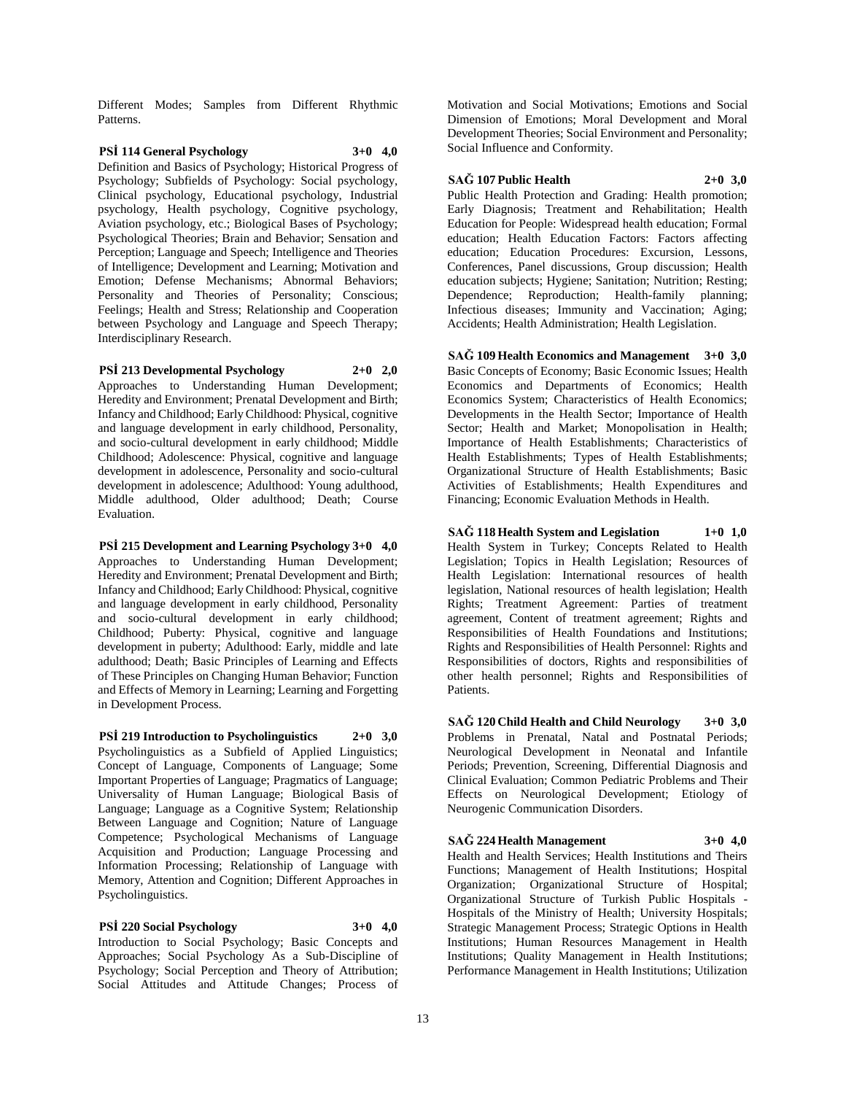Different Modes; Samples from Different Rhythmic Patterns.

# **PSİ 114 General Psychology 3+0 4,0**

Definition and Basics of Psychology; Historical Progress of Psychology; Subfields of Psychology: Social psychology, Clinical psychology, Educational psychology, Industrial psychology, Health psychology, Cognitive psychology, Aviation psychology, etc.; Biological Bases of Psychology; Psychological Theories; Brain and Behavior; Sensation and Perception; Language and Speech; Intelligence and Theories of Intelligence; Development and Learning; Motivation and Emotion; Defense Mechanisms; Abnormal Behaviors; Personality and Theories of Personality; Conscious; Feelings; Health and Stress; Relationship and Cooperation between Psychology and Language and Speech Therapy; Interdisciplinary Research.

**PSİ 213 Developmental Psychology 2+0 2,0** Approaches to Understanding Human Development; Heredity and Environment; Prenatal Development and Birth; Infancy and Childhood; Early Childhood: Physical, cognitive and language development in early childhood, Personality, and socio-cultural development in early childhood; Middle Childhood; Adolescence: Physical, cognitive and language development in adolescence, Personality and socio-cultural development in adolescence; Adulthood: Young adulthood, Middle adulthood, Older adulthood; Death; Course Evaluation.

**PSİ 215 Development and Learning Psychology 3+0 4,0** Approaches to Understanding Human Development; Heredity and Environment; Prenatal Development and Birth; Infancy and Childhood; Early Childhood: Physical, cognitive and language development in early childhood, Personality and socio-cultural development in early childhood; Childhood; Puberty: Physical, cognitive and language development in puberty; Adulthood: Early, middle and late adulthood; Death; Basic Principles of Learning and Effects of These Principles on Changing Human Behavior; Function and Effects of Memory in Learning; Learning and Forgetting in Development Process.

**PSİ 219 Introduction to Psycholinguistics 2+0 3,0** Psycholinguistics as a Subfield of Applied Linguistics; Concept of Language, Components of Language; Some Important Properties of Language; Pragmatics of Language; Universality of Human Language; Biological Basis of Language; Language as a Cognitive System; Relationship Between Language and Cognition; Nature of Language Competence; Psychological Mechanisms of Language Acquisition and Production; Language Processing and Information Processing; Relationship of Language with Memory, Attention and Cognition; Different Approaches in Psycholinguistics.

**PSİ 220 Social Psychology 3+0 4,0** Introduction to Social Psychology; Basic Concepts and Approaches; Social Psychology As a Sub-Discipline of Psychology; Social Perception and Theory of Attribution; Social Attitudes and Attitude Changes; Process of

Motivation and Social Motivations; Emotions and Social Dimension of Emotions; Moral Development and Moral Development Theories; Social Environment and Personality; Social Influence and Conformity.

#### **SAĞ 107 Public Health 2+0 3,0**

Public Health Protection and Grading: Health promotion; Early Diagnosis; Treatment and Rehabilitation; Health Education for People: Widespread health education; Formal education; Health Education Factors: Factors affecting education; Education Procedures: Excursion, Lessons, Conferences, Panel discussions, Group discussion; Health education subjects; Hygiene; Sanitation; Nutrition; Resting; Dependence; Reproduction; Health-family planning; Infectious diseases; Immunity and Vaccination; Aging; Accidents; Health Administration; Health Legislation.

**SAĞ 109 Health Economics and Management 3+0 3,0** Basic Concepts of Economy; Basic Economic Issues; Health Economics and Departments of Economics; Health Economics System; Characteristics of Health Economics; Developments in the Health Sector; Importance of Health Sector; Health and Market; Monopolisation in Health; Importance of Health Establishments; Characteristics of Health Establishments; Types of Health Establishments; Organizational Structure of Health Establishments; Basic Activities of Establishments; Health Expenditures and Financing; Economic Evaluation Methods in Health.

**SAĞ 118 Health System and Legislation 1+0 1,0** Health System in Turkey; Concepts Related to Health Legislation; Topics in Health Legislation; Resources of Health Legislation: International resources of health legislation, National resources of health legislation; Health Rights; Treatment Agreement: Parties of treatment agreement, Content of treatment agreement; Rights and Responsibilities of Health Foundations and Institutions; Rights and Responsibilities of Health Personnel: Rights and Responsibilities of doctors, Rights and responsibilities of other health personnel; Rights and Responsibilities of Patients.

**SAĞ 120 Child Health and Child Neurology 3+0 3,0** Problems in Prenatal, Natal and Postnatal Periods; Neurological Development in Neonatal and Infantile Periods; Prevention, Screening, Differential Diagnosis and Clinical Evaluation; Common Pediatric Problems and Their Effects on Neurological Development; Etiology of Neurogenic Communication Disorders.

**SAĞ 224 Health Management 3+0 4,0** Health and Health Services; Health Institutions and Theirs Functions; Management of Health Institutions; Hospital Organization; Organizational Structure of Hospital; Organizational Structure of Turkish Public Hospitals - Hospitals of the Ministry of Health; University Hospitals; Strategic Management Process; Strategic Options in Health Institutions; Human Resources Management in Health Institutions; Quality Management in Health Institutions; Performance Management in Health Institutions; Utilization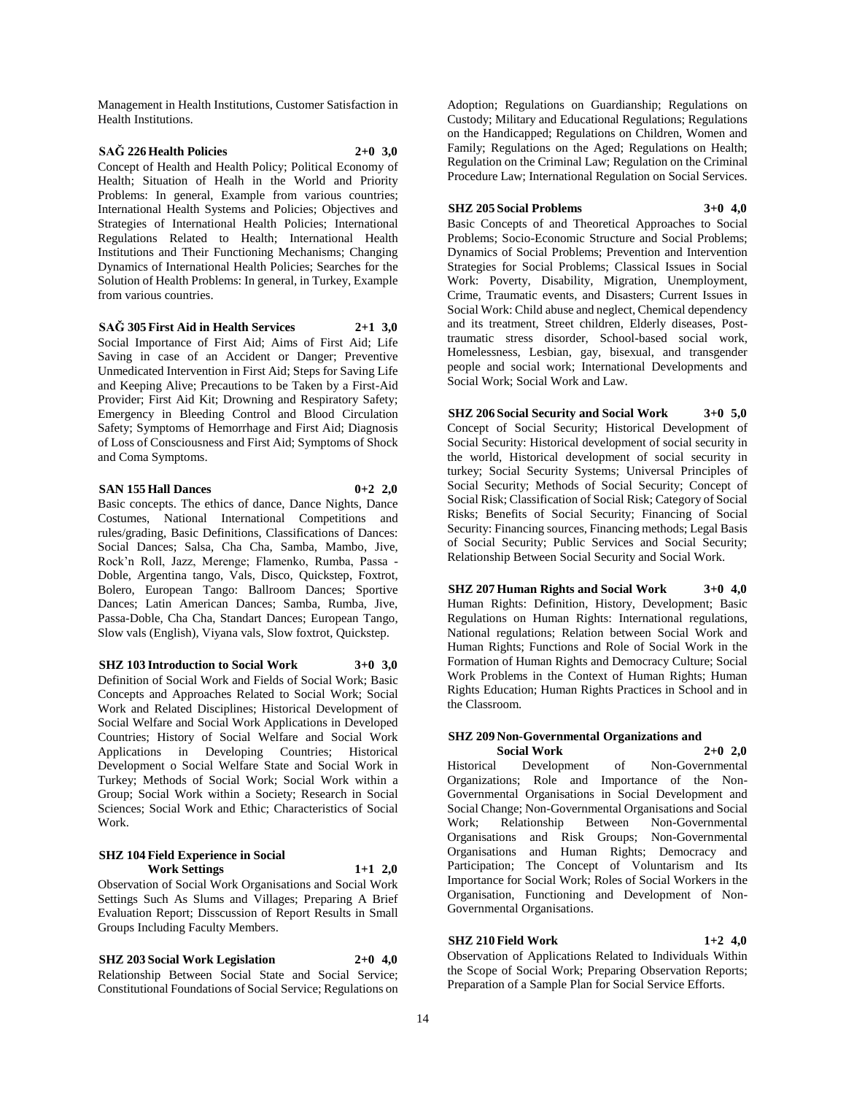Management in Health Institutions, Customer Satisfaction in Health Institutions.

# **SAĞ 226 Health Policies 2+0 3,0**

Concept of Health and Health Policy; Political Economy of Health; Situation of Healh in the World and Priority Problems: In general, Example from various countries; International Health Systems and Policies; Objectives and Strategies of International Health Policies; International Regulations Related to Health; International Health Institutions and Their Functioning Mechanisms; Changing Dynamics of International Health Policies; Searches for the Solution of Health Problems: In general, in Turkey, Example from various countries.

### **SAĞ 305 First Aid in Health Services 2+1 3,0**

Social Importance of First Aid; Aims of First Aid; Life Saving in case of an Accident or Danger; Preventive Unmedicated Intervention in First Aid; Steps for Saving Life and Keeping Alive; Precautions to be Taken by a First-Aid Provider; First Aid Kit; Drowning and Respiratory Safety; Emergency in Bleeding Control and Blood Circulation Safety; Symptoms of Hemorrhage and First Aid; Diagnosis of Loss of Consciousness and First Aid; Symptoms of Shock and Coma Symptoms.

### **SAN 155 Hall Dances 0+2 2,0**

Basic concepts. The ethics of dance, Dance Nights, Dance Costumes, National International Competitions and rules/grading, Basic Definitions, Classifications of Dances: Social Dances; Salsa, Cha Cha, Samba, Mambo, Jive, Rock'n Roll, Jazz, Merenge; Flamenko, Rumba, Passa - Doble, Argentina tango, Vals, Disco, Quickstep, Foxtrot, Bolero, European Tango: Ballroom Dances; Sportive Dances; Latin American Dances; Samba, Rumba, Jive, Passa-Doble, Cha Cha, Standart Dances; European Tango, Slow vals (English), Viyana vals, Slow foxtrot, Quickstep.

**SHZ 103 Introduction to Social Work 3+0 3,0** Definition of Social Work and Fields of Social Work; Basic Concepts and Approaches Related to Social Work; Social Work and Related Disciplines; Historical Development of Social Welfare and Social Work Applications in Developed Countries; History of Social Welfare and Social Work Applications in Developing Countries; Historical Development o Social Welfare State and Social Work in Turkey; Methods of Social Work; Social Work within a Group; Social Work within a Society; Research in Social Sciences; Social Work and Ethic; Characteristics of Social Work.

### **SHZ 104 Field Experience in Social Work Settings 1+1 2,0**

Observation of Social Work Organisations and Social Work Settings Such As Slums and Villages; Preparing A Brief Evaluation Report; Disscussion of Report Results in Small Groups Including Faculty Members.

**SHZ 203 Social Work Legislation 2+0 4,0**

Relationship Between Social State and Social Service; Constitutional Foundations of Social Service; Regulations on Adoption; Regulations on Guardianship; Regulations on Custody; Military and Educational Regulations; Regulations on the Handicapped; Regulations on Children, Women and Family; Regulations on the Aged; Regulations on Health; Regulation on the Criminal Law; Regulation on the Criminal Procedure Law; International Regulation on Social Services.

### **SHZ 205 Social Problems 3+0 4,0**

Basic Concepts of and Theoretical Approaches to Social Problems; Socio-Economic Structure and Social Problems; Dynamics of Social Problems; Prevention and Intervention Strategies for Social Problems; Classical Issues in Social Work: Poverty, Disability, Migration, Unemployment, Crime, Traumatic events, and Disasters; Current Issues in Social Work: Child abuse and neglect, Chemical dependency and its treatment, Street children, Elderly diseases, Posttraumatic stress disorder, School-based social work, Homelessness, Lesbian, gay, bisexual, and transgender people and social work; International Developments and Social Work; Social Work and Law.

**SHZ 206 Social Security and Social Work 3+0 5,0** Concept of Social Security; Historical Development of Social Security: Historical development of social security in the world, Historical development of social security in turkey; Social Security Systems; Universal Principles of Social Security; Methods of Social Security; Concept of Social Risk; Classification of Social Risk; Category of Social Risks; Benefits of Social Security; Financing of Social Security: Financing sources, Financing methods; Legal Basis of Social Security; Public Services and Social Security; Relationship Between Social Security and Social Work.

**SHZ 207 Human Rights and Social Work 3+0 4,0** Human Rights: Definition, History, Development; Basic Regulations on Human Rights: International regulations, National regulations; Relation between Social Work and Human Rights; Functions and Role of Social Work in the Formation of Human Rights and Democracy Culture; Social Work Problems in the Context of Human Rights; Human Rights Education; Human Rights Practices in School and in the Classroom.

### **SHZ 209 Non-Governmental Organizations and Social Work 2+0 2,0**

Historical Development of Non-Governmental Organizations; Role and Importance of the Non-Governmental Organisations in Social Development and Social Change; Non-Governmental Organisations and Social Work; Relationship Between Non-Governmental Organisations and Risk Groups; Non-Governmental Organisations and Human Rights; Democracy and Participation; The Concept of Voluntarism and Its Importance for Social Work; Roles of Social Workers in the Organisation, Functioning and Development of Non-Governmental Organisations.

# **SHZ 210 Field Work 1+2 4,0**

Observation of Applications Related to Individuals Within the Scope of Social Work; Preparing Observation Reports; Preparation of a Sample Plan for Social Service Efforts.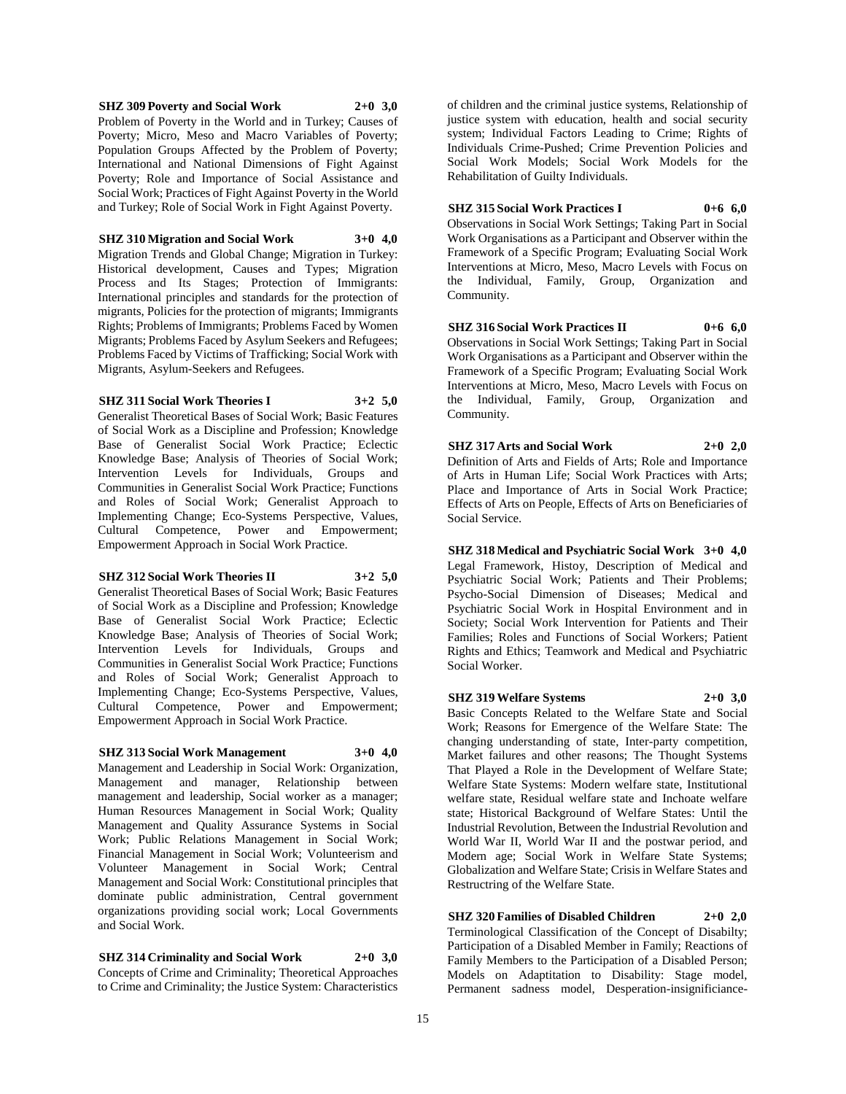### **SHZ 309 Poverty and Social Work 2+0 3,0**

Problem of Poverty in the World and in Turkey; Causes of Poverty; Micro, Meso and Macro Variables of Poverty; Population Groups Affected by the Problem of Poverty; International and National Dimensions of Fight Against Poverty; Role and Importance of Social Assistance and Social Work; Practices of Fight Against Poverty in the World and Turkey; Role of Social Work in Fight Against Poverty.

### **SHZ 310 Migration and Social Work 3+0 4,0**

Migration Trends and Global Change; Migration in Turkey: Historical development, Causes and Types; Migration Process and Its Stages; Protection of Immigrants: International principles and standards for the protection of migrants, Policies for the protection of migrants; Immigrants Rights; Problems of Immigrants; Problems Faced by Women Migrants; Problems Faced by Asylum Seekers and Refugees; Problems Faced by Victims of Trafficking; Social Work with Migrants, Asylum-Seekers and Refugees.

### **SHZ 311 Social Work Theories I 3+2 5,0**

Generalist Theoretical Bases of Social Work; Basic Features of Social Work as a Discipline and Profession; Knowledge Base of Generalist Social Work Practice; Eclectic Knowledge Base; Analysis of Theories of Social Work; Intervention Levels for Individuals, Groups and Communities in Generalist Social Work Practice; Functions and Roles of Social Work; Generalist Approach to Implementing Change; Eco-Systems Perspective, Values, Cultural Competence, Power and Empowerment; Empowerment Approach in Social Work Practice.

# **SHZ 312 Social Work Theories II 3+2 5,0**

Generalist Theoretical Bases of Social Work; Basic Features of Social Work as a Discipline and Profession; Knowledge Base of Generalist Social Work Practice; Eclectic Knowledge Base; Analysis of Theories of Social Work; Intervention Levels for Individuals, Groups and Communities in Generalist Social Work Practice; Functions and Roles of Social Work; Generalist Approach to Implementing Change; Eco-Systems Perspective, Values, Cultural Competence, Power and Empowerment; Empowerment Approach in Social Work Practice.

# **SHZ 313 Social Work Management 3+0 4,0**

Management and Leadership in Social Work: Organization, Management and manager, Relationship between management and leadership, Social worker as a manager; Human Resources Management in Social Work; Quality Management and Quality Assurance Systems in Social Work; Public Relations Management in Social Work; Financial Management in Social Work; Volunteerism and Volunteer Management in Social Work; Central Management and Social Work: Constitutional principles that dominate public administration, Central government organizations providing social work; Local Governments and Social Work.

**SHZ 314 Criminality and Social Work 2+0 3,0** Concepts of Crime and Criminality; Theoretical Approaches to Crime and Criminality; the Justice System: Characteristics

of children and the criminal justice systems, Relationship of justice system with education, health and social security system; Individual Factors Leading to Crime; Rights of Individuals Crime-Pushed; Crime Prevention Policies and Social Work Models; Social Work Models for the Rehabilitation of Guilty Individuals.

### **SHZ 315 Social Work Practices I 0+6 6,0**

Observations in Social Work Settings; Taking Part in Social Work Organisations as a Participant and Observer within the Framework of a Specific Program; Evaluating Social Work Interventions at Micro, Meso, Macro Levels with Focus on the Individual, Family, Group, Organization and Community.

**SHZ 316 Social Work Practices II 0+6 6,0** Observations in Social Work Settings; Taking Part in Social Work Organisations as a Participant and Observer within the Framework of a Specific Program; Evaluating Social Work Interventions at Micro, Meso, Macro Levels with Focus on the Individual, Family, Group, Organization and Community.

**SHZ 317 Arts and Social Work 2+0 2,0** Definition of Arts and Fields of Arts; Role and Importance of Arts in Human Life; Social Work Practices with Arts; Place and Importance of Arts in Social Work Practice; Effects of Arts on People, Effects of Arts on Beneficiaries of Social Service.

**SHZ 318 Medical and Psychiatric Social Work 3+0 4,0** Legal Framework, Histoy, Description of Medical and Psychiatric Social Work; Patients and Their Problems; Psycho-Social Dimension of Diseases; Medical and Psychiatric Social Work in Hospital Environment and in Society; Social Work Intervention for Patients and Their Families; Roles and Functions of Social Workers; Patient Rights and Ethics; Teamwork and Medical and Psychiatric Social Worker.

# **SHZ 319 Welfare Systems 2+0 3,0**

Basic Concepts Related to the Welfare State and Social Work; Reasons for Emergence of the Welfare State: The changing understanding of state, Inter-party competition, Market failures and other reasons; The Thought Systems That Played a Role in the Development of Welfare State; Welfare State Systems: Modern welfare state, Institutional welfare state, Residual welfare state and Inchoate welfare state; Historical Background of Welfare States: Until the Industrial Revolution, Between the Industrial Revolution and World War II, World War II and the postwar period, and Modern age; Social Work in Welfare State Systems; Globalization and Welfare State; Crisis in Welfare States and Restructring of the Welfare State.

**SHZ 320 Families of Disabled Children 2+0 2,0** Terminological Classification of the Concept of Disabilty; Participation of a Disabled Member in Family; Reactions of Family Members to the Participation of a Disabled Person; Models on Adaptitation to Disability: Stage model, Permanent sadness model, Desperation-insignificiance-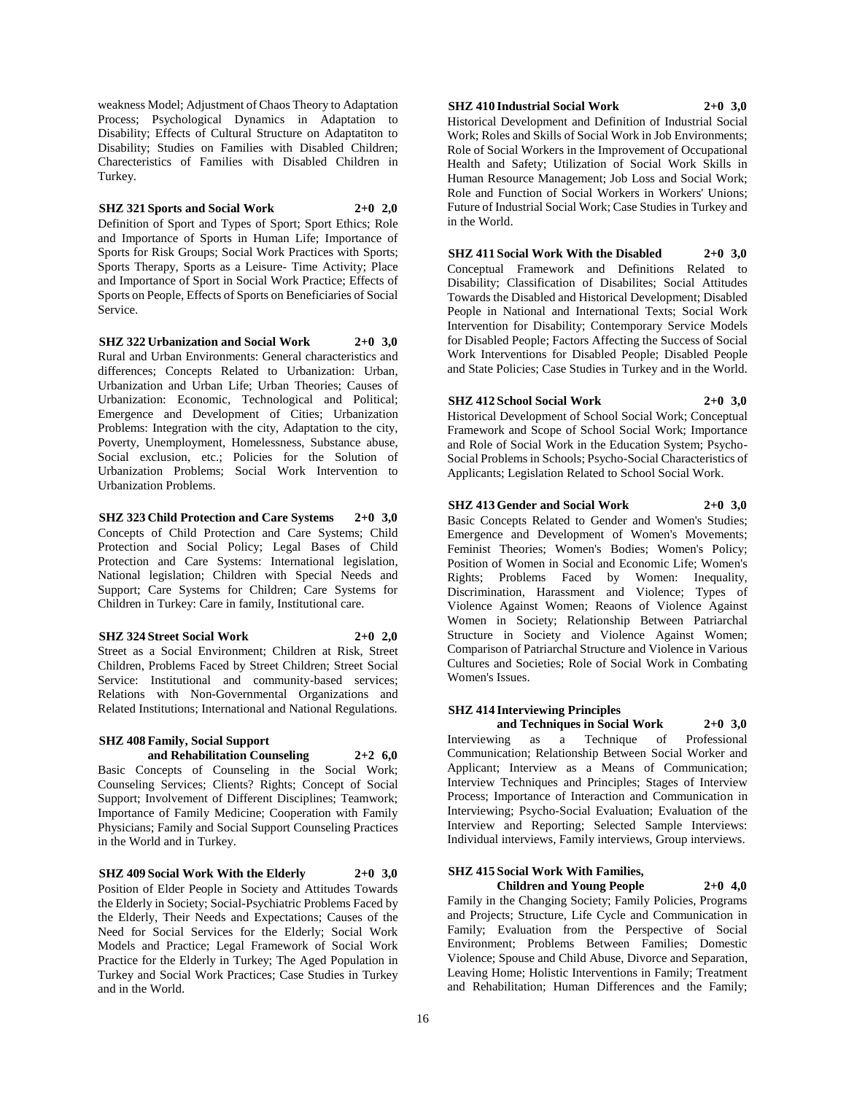weakness Model; Adjustment of Chaos Theory to Adaptation Process; Psychological Dynamics in Adaptation to Disability; Effects of Cultural Structure on Adaptatiton to Disability; Studies on Families with Disabled Children; Charecteristics of Families with Disabled Children in Turkey.

# **SHZ 321 Sports and Social Work 2+0 2,0**

Definition of Sport and Types of Sport; Sport Ethics; Role and Importance of Sports in Human Life; Importance of Sports for Risk Groups; Social Work Practices with Sports; Sports Therapy, Sports as a Leisure- Time Activity; Place and Importance of Sport in Social Work Practice; Effects of Sports on People, Effects of Sports on Beneficiaries of Social Service.

**SHZ 322 Urbanization and Social Work 2+0 3,0** Rural and Urban Environments: General characteristics and differences; Concepts Related to Urbanization: Urban, Urbanization and Urban Life; Urban Theories; Causes of Urbanization: Economic, Technological and Political; Emergence and Development of Cities; Urbanization Problems: Integration with the city, Adaptation to the city, Poverty, Unemployment, Homelessness, Substance abuse, Social exclusion, etc.; Policies for the Solution of Urbanization Problems; Social Work Intervention to Urbanization Problems.

**SHZ 323 Child Protection and Care Systems 2+0 3,0** Concepts of Child Protection and Care Systems; Child Protection and Social Policy; Legal Bases of Child Protection and Care Systems: International legislation, National legislation; Children with Special Needs and Support; Care Systems for Children; Care Systems for Children in Turkey: Care in family, Institutional care.

# **SHZ 324 Street Social Work 2+0 2,0**

Street as a Social Environment; Children at Risk, Street Children, Problems Faced by Street Children; Street Social Service: Institutional and community-based services; Relations with Non-Governmental Organizations and Related Institutions; International and National Regulations.

#### **SHZ 408 Family, Social Support and Rehabilitation Counseling 2+2 6,0**

Basic Concepts of Counseling in the Social Work; Counseling Services; Clients? Rights; Concept of Social Support; Involvement of Different Disciplines; Teamwork; Importance of Family Medicine; Cooperation with Family Physicians; Family and Social Support Counseling Practices in the World and in Turkey.

### **SHZ 409 Social Work With the Elderly 2+0 3,0**

Position of Elder People in Society and Attitudes Towards the Elderly in Society; Social-Psychiatric Problems Faced by the Elderly, Their Needs and Expectations; Causes of the Need for Social Services for the Elderly; Social Work Models and Practice; Legal Framework of Social Work Practice for the Elderly in Turkey; The Aged Population in Turkey and Social Work Practices; Case Studies in Turkey and in the World.

### **SHZ 410 Industrial Social Work 2+0 3,0**

Historical Development and Definition of Industrial Social Work; Roles and Skills of Social Work in Job Environments; Role of Social Workers in the Improvement of Occupational Health and Safety; Utilization of Social Work Skills in Human Resource Management; Job Loss and Social Work; Role and Function of Social Workers in Workers' Unions; Future of Industrial Social Work; Case Studies in Turkey and in the World.

**SHZ 411 Social Work With the Disabled 2+0 3,0** Conceptual Framework and Definitions Related to Disability; Classification of Disabilites; Social Attitudes Towards the Disabled and Historical Development; Disabled People in National and International Texts; Social Work Intervention for Disability; Contemporary Service Models for Disabled People; Factors Affecting the Success of Social Work Interventions for Disabled People; Disabled People and State Policies; Case Studies in Turkey and in the World.

### **SHZ 412 School Social Work 2+0 3,0**

Historical Development of School Social Work; Conceptual Framework and Scope of School Social Work; Importance and Role of Social Work in the Education System; Psycho-Social Problems in Schools; Psycho-Social Characteristics of Applicants; Legislation Related to School Social Work.

**SHZ 413 Gender and Social Work 2+0 3,0** Basic Concepts Related to Gender and Women's Studies;

Emergence and Development of Women's Movements; Feminist Theories; Women's Bodies; Women's Policy; Position of Women in Social and Economic Life; Women's Rights; Problems Faced by Women: Inequality, Discrimination, Harassment and Violence; Types of Violence Against Women; Reaons of Violence Against Women in Society; Relationship Between Patriarchal Structure in Society and Violence Against Women; Comparison of Patriarchal Structure and Violence in Various Cultures and Societies; Role of Social Work in Combating Women's Issues.

### **SHZ 414 Interviewing Principles**

**and Techniques in Social Work 2+0 3,0** Interviewing as a Technique of Professional Communication; Relationship Between Social Worker and Applicant; Interview as a Means of Communication; Interview Techniques and Principles; Stages of Interview Process; Importance of Interaction and Communication in Interviewing; Psycho-Social Evaluation; Evaluation of the Interview and Reporting; Selected Sample Interviews: Individual interviews, Family interviews, Group interviews.

# **SHZ 415 Social Work With Families,**

**Children and Young People 2+0 4,0** Family in the Changing Society; Family Policies, Programs and Projects; Structure, Life Cycle and Communication in Family; Evaluation from the Perspective of Social Environment; Problems Between Families; Domestic Violence; Spouse and Child Abuse, Divorce and Separation, Leaving Home; Holistic Interventions in Family; Treatment and Rehabilitation; Human Differences and the Family;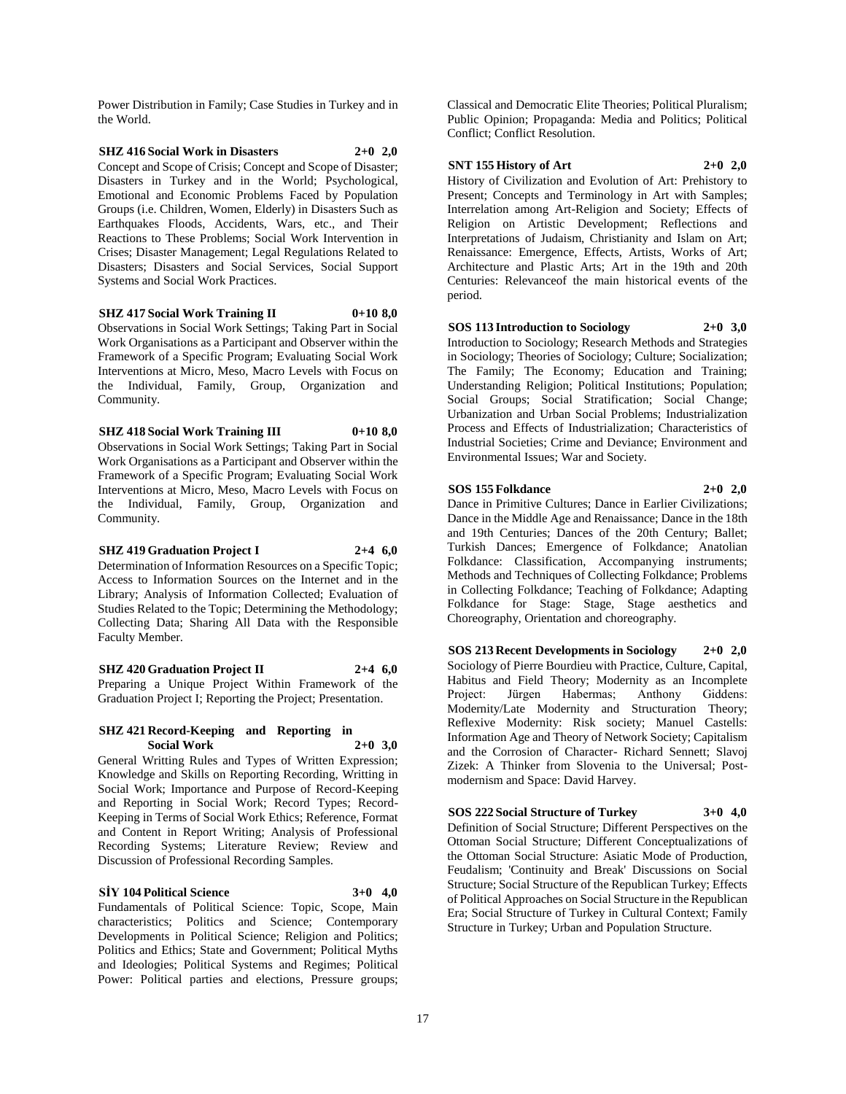Power Distribution in Family; Case Studies in Turkey and in the World.

### **SHZ 416 Social Work in Disasters 2+0 2,0** Concept and Scope of Crisis; Concept and Scope of Disaster; Disasters in Turkey and in the World; Psychological, Emotional and Economic Problems Faced by Population Groups (i.e. Children, Women, Elderly) in Disasters Such as Earthquakes Floods, Accidents, Wars, etc., and Their Reactions to These Problems; Social Work Intervention in Crises; Disaster Management; Legal Regulations Related to Disasters; Disasters and Social Services, Social Support Systems and Social Work Practices.

### **SHZ 417 Social Work Training II 0+10 8,0**

Observations in Social Work Settings; Taking Part in Social Work Organisations as a Participant and Observer within the Framework of a Specific Program; Evaluating Social Work Interventions at Micro, Meso, Macro Levels with Focus on the Individual, Family, Group, Organization and Community.

**SHZ 418 Social Work Training III 0+10 8,0** Observations in Social Work Settings; Taking Part in Social Work Organisations as a Participant and Observer within the

Framework of a Specific Program; Evaluating Social Work Interventions at Micro, Meso, Macro Levels with Focus on the Individual, Family, Group, Organization and Community.

#### **SHZ 419 Graduation Project I 2+4 6,0**

Determination of Information Resources on a Specific Topic; Access to Information Sources on the Internet and in the Library; Analysis of Information Collected; Evaluation of Studies Related to the Topic; Determining the Methodology; Collecting Data; Sharing All Data with the Responsible Faculty Member.

# **SHZ 420 Graduation Project II 2+4 6,0**

Preparing a Unique Project Within Framework of the Graduation Project I; Reporting the Project; Presentation.

### **SHZ 421 Record-Keeping and Reporting in Social Work 2+0 3,0**

General Writting Rules and Types of Written Expression; Knowledge and Skills on Reporting Recording, Writting in Social Work; Importance and Purpose of Record-Keeping and Reporting in Social Work; Record Types; Record-Keeping in Terms of Social Work Ethics; Reference, Format and Content in Report Writing; Analysis of Professional Recording Systems; Literature Review; Review and Discussion of Professional Recording Samples.

### **SİY 104 Political Science 3+0 4,0**

Fundamentals of Political Science: Topic, Scope, Main characteristics; Politics and Science; Contemporary Developments in Political Science; Religion and Politics; Politics and Ethics; State and Government; Political Myths and Ideologies; Political Systems and Regimes; Political Power: Political parties and elections, Pressure groups;

Classical and Democratic Elite Theories; Political Pluralism; Public Opinion; Propaganda: Media and Politics; Political Conflict; Conflict Resolution.

### **SNT 155 History of Art 2+0 2,0**

History of Civilization and Evolution of Art: Prehistory to Present; Concepts and Terminology in Art with Samples; Interrelation among Art-Religion and Society; Effects of Religion on Artistic Development; Reflections and Interpretations of Judaism, Christianity and Islam on Art; Renaissance: Emergence, Effects, Artists, Works of Art; Architecture and Plastic Arts; Art in the 19th and 20th Centuries: Relevanceof the main historical events of the period.

**SOS 113 Introduction to Sociology 2+0 3,0**

Introduction to Sociology; Research Methods and Strategies in Sociology; Theories of Sociology; Culture; Socialization; The Family; The Economy; Education and Training; Understanding Religion; Political Institutions; Population; Social Groups; Social Stratification; Social Change; Urbanization and Urban Social Problems; Industrialization Process and Effects of Industrialization; Characteristics of Industrial Societies; Crime and Deviance; Environment and Environmental Issues; War and Society.

### **SOS 155 Folkdance 2+0 2,0**

Dance in Primitive Cultures; Dance in Earlier Civilizations; Dance in the Middle Age and Renaissance; Dance in the 18th and 19th Centuries; Dances of the 20th Century; Ballet; Turkish Dances; Emergence of Folkdance; Anatolian Folkdance: Classification, Accompanying instruments; Methods and Techniques of Collecting Folkdance; Problems in Collecting Folkdance; Teaching of Folkdance; Adapting Folkdance for Stage: Stage, Stage aesthetics and Choreography, Orientation and choreography.

**SOS 213 Recent Developments in Sociology 2+0 2,0** Sociology of Pierre Bourdieu with Practice, Culture, Capital, Habitus and Field Theory; Modernity as an Incomplete Project: Jürgen Habermas; Anthony Giddens: Modernity/Late Modernity and Structuration Theory; Reflexive Modernity: Risk society; Manuel Castells: Information Age and Theory of Network Society; Capitalism and the Corrosion of Character- Richard Sennett; Slavoj Zizek: A Thinker from Slovenia to the Universal; Postmodernism and Space: David Harvey.

# **SOS 222 Social Structure of Turkey 3+0 4,0**

Definition of Social Structure; Different Perspectives on the Ottoman Social Structure; Different Conceptualizations of the Ottoman Social Structure: Asiatic Mode of Production, Feudalism; 'Continuity and Break' Discussions on Social Structure; Social Structure of the Republican Turkey; Effects of Political Approaches on Social Structure in the Republican Era; Social Structure of Turkey in Cultural Context; Family Structure in Turkey; Urban and Population Structure.